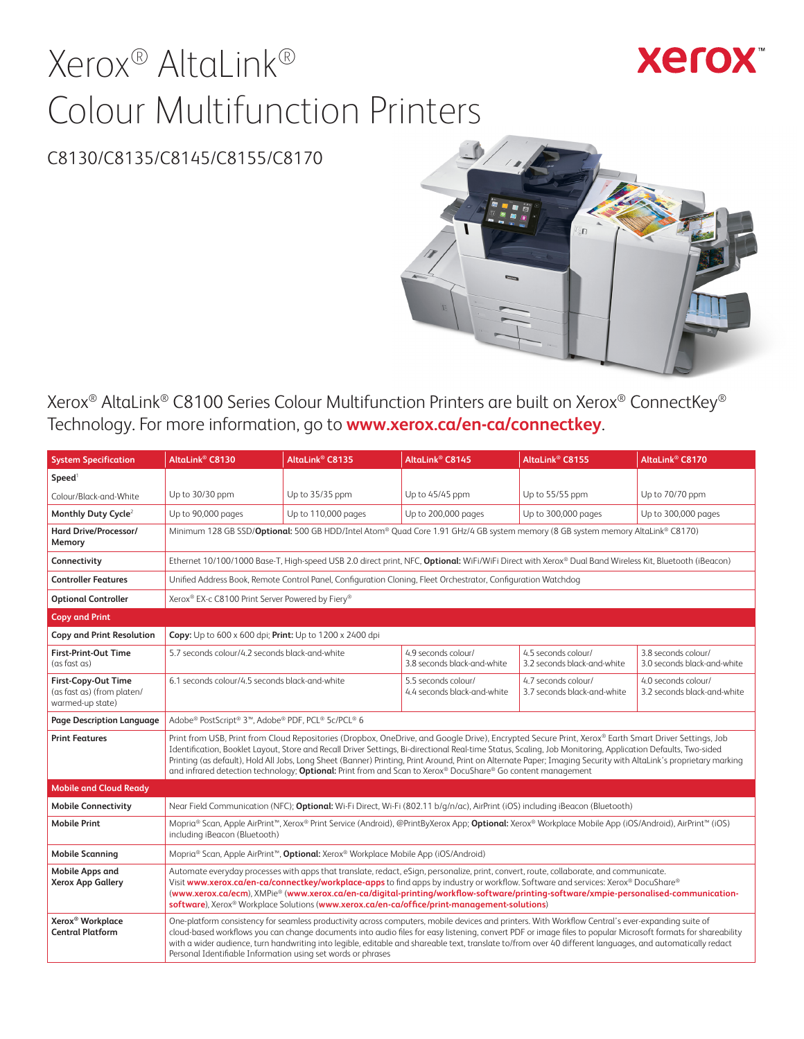# Xerox® AltaLink® Colour Multifunction Printers

## **Xerox**

## C8130/C8135/C8145/C8155/C8170



Xerox® AltaLink® C8100 Series Colour Multifunction Printers are built on Xerox® ConnectKey® Technology. For more information, go to **[www.xerox.ca/en-ca/connectkey](http://www.xerox.ca/en-ca/connectkey)**.

| <b>System Specification</b>                                           | AltaLink® C8130                                                                                                                                                                                                                                                                                                                                                                                                                                                                                                      | AltaLink <sup>®</sup> C8135                                                                                                                                                                                                                                                                                                                                                                                                                                                                                                                     | AltaLink <sup>®</sup> C8145                                                                                                                                                                                                                                                                                                                                                                                                                                                                                                                                                                            | AltaLink <sup>®</sup> C8155                        | AltaLink <sup>®</sup> C8170                        |  |
|-----------------------------------------------------------------------|----------------------------------------------------------------------------------------------------------------------------------------------------------------------------------------------------------------------------------------------------------------------------------------------------------------------------------------------------------------------------------------------------------------------------------------------------------------------------------------------------------------------|-------------------------------------------------------------------------------------------------------------------------------------------------------------------------------------------------------------------------------------------------------------------------------------------------------------------------------------------------------------------------------------------------------------------------------------------------------------------------------------------------------------------------------------------------|--------------------------------------------------------------------------------------------------------------------------------------------------------------------------------------------------------------------------------------------------------------------------------------------------------------------------------------------------------------------------------------------------------------------------------------------------------------------------------------------------------------------------------------------------------------------------------------------------------|----------------------------------------------------|----------------------------------------------------|--|
| Speed <sup>1</sup>                                                    |                                                                                                                                                                                                                                                                                                                                                                                                                                                                                                                      |                                                                                                                                                                                                                                                                                                                                                                                                                                                                                                                                                 |                                                                                                                                                                                                                                                                                                                                                                                                                                                                                                                                                                                                        |                                                    |                                                    |  |
| Colour/Black-and-White                                                | Up to 30/30 ppm                                                                                                                                                                                                                                                                                                                                                                                                                                                                                                      | Up to 35/35 ppm                                                                                                                                                                                                                                                                                                                                                                                                                                                                                                                                 | Up to 45/45 ppm                                                                                                                                                                                                                                                                                                                                                                                                                                                                                                                                                                                        | Up to 55/55 ppm                                    | Up to 70/70 ppm                                    |  |
| Monthly Duty Cycle <sup>2</sup>                                       | Up to 90,000 pages                                                                                                                                                                                                                                                                                                                                                                                                                                                                                                   | Up to 110,000 pages                                                                                                                                                                                                                                                                                                                                                                                                                                                                                                                             | Up to 200,000 pages                                                                                                                                                                                                                                                                                                                                                                                                                                                                                                                                                                                    | Up to 300,000 pages                                | Up to 300,000 pages                                |  |
| Hard Drive/Processor/<br>Memory                                       |                                                                                                                                                                                                                                                                                                                                                                                                                                                                                                                      |                                                                                                                                                                                                                                                                                                                                                                                                                                                                                                                                                 | Minimum 128 GB SSD/Optional: 500 GB HDD/Intel Atom® Quad Core 1.91 GHz/4 GB system memory (8 GB system memory AltaLink® C8170)                                                                                                                                                                                                                                                                                                                                                                                                                                                                         |                                                    |                                                    |  |
| Connectivity                                                          |                                                                                                                                                                                                                                                                                                                                                                                                                                                                                                                      |                                                                                                                                                                                                                                                                                                                                                                                                                                                                                                                                                 | Ethernet 10/100/1000 Base-T, High-speed USB 2.0 direct print, NFC, Optional: WiFi/WiFi Direct with Xerox® Dual Band Wireless Kit, Bluetooth (iBeacon)                                                                                                                                                                                                                                                                                                                                                                                                                                                  |                                                    |                                                    |  |
| <b>Controller Features</b>                                            |                                                                                                                                                                                                                                                                                                                                                                                                                                                                                                                      |                                                                                                                                                                                                                                                                                                                                                                                                                                                                                                                                                 | Unified Address Book, Remote Control Panel, Configuration Cloning, Fleet Orchestrator, Configuration Watchdog                                                                                                                                                                                                                                                                                                                                                                                                                                                                                          |                                                    |                                                    |  |
| <b>Optional Controller</b>                                            | Xerox® EX-c C8100 Print Server Powered by Fiery®                                                                                                                                                                                                                                                                                                                                                                                                                                                                     |                                                                                                                                                                                                                                                                                                                                                                                                                                                                                                                                                 |                                                                                                                                                                                                                                                                                                                                                                                                                                                                                                                                                                                                        |                                                    |                                                    |  |
| <b>Copy and Print</b>                                                 |                                                                                                                                                                                                                                                                                                                                                                                                                                                                                                                      |                                                                                                                                                                                                                                                                                                                                                                                                                                                                                                                                                 |                                                                                                                                                                                                                                                                                                                                                                                                                                                                                                                                                                                                        |                                                    |                                                    |  |
| Copy and Print Resolution                                             | Copy: Up to 600 x 600 dpi; Print: Up to 1200 x 2400 dpi                                                                                                                                                                                                                                                                                                                                                                                                                                                              |                                                                                                                                                                                                                                                                                                                                                                                                                                                                                                                                                 |                                                                                                                                                                                                                                                                                                                                                                                                                                                                                                                                                                                                        |                                                    |                                                    |  |
| <b>First-Print-Out Time</b><br>(as fast as)                           | 5.7 seconds colour/4.2 seconds black-and-white                                                                                                                                                                                                                                                                                                                                                                                                                                                                       |                                                                                                                                                                                                                                                                                                                                                                                                                                                                                                                                                 | 4.9 seconds colour/<br>3.8 seconds black-and-white                                                                                                                                                                                                                                                                                                                                                                                                                                                                                                                                                     | 4.5 seconds colour/<br>3.2 seconds black-and-white | 3.8 seconds colour/<br>3.0 seconds black-and-white |  |
| First-Copy-Out Time<br>(as fast as) (from platen/<br>warmed-up state) | 6.1 seconds colour/4.5 seconds black-and-white                                                                                                                                                                                                                                                                                                                                                                                                                                                                       |                                                                                                                                                                                                                                                                                                                                                                                                                                                                                                                                                 | 5.5 seconds colour/<br>4.4 seconds black-and-white                                                                                                                                                                                                                                                                                                                                                                                                                                                                                                                                                     | 4.7 seconds colour/<br>3.7 seconds black-and-white | 4.0 seconds colour/<br>3.2 seconds black-and-white |  |
| Page Description Language                                             | Adobe® PostScript® 3™, Adobe® PDF, PCL® 5c/PCL® 6                                                                                                                                                                                                                                                                                                                                                                                                                                                                    |                                                                                                                                                                                                                                                                                                                                                                                                                                                                                                                                                 |                                                                                                                                                                                                                                                                                                                                                                                                                                                                                                                                                                                                        |                                                    |                                                    |  |
| <b>Print Features</b>                                                 |                                                                                                                                                                                                                                                                                                                                                                                                                                                                                                                      |                                                                                                                                                                                                                                                                                                                                                                                                                                                                                                                                                 | Print from USB, Print from Cloud Repositories (Dropbox, OneDrive, and Google Drive), Encrypted Secure Print, Xerox® Earth Smart Driver Settings, Job<br>Identification, Booklet Layout, Store and Recall Driver Settings, Bi-directional Real-time Status, Scaling, Job Monitoring, Application Defaults, Two-sided<br>Printing (as default), Hold All Jobs, Long Sheet (Banner) Printing, Print Around, Print on Alternate Paper; Imaging Security with AltaLink's proprietary marking<br>and infrared detection technology; Optional: Print from and Scan to Xerox® DocuShare® Go content management |                                                    |                                                    |  |
| <b>Mobile and Cloud Ready</b>                                         |                                                                                                                                                                                                                                                                                                                                                                                                                                                                                                                      |                                                                                                                                                                                                                                                                                                                                                                                                                                                                                                                                                 |                                                                                                                                                                                                                                                                                                                                                                                                                                                                                                                                                                                                        |                                                    |                                                    |  |
| <b>Mobile Connectivity</b>                                            |                                                                                                                                                                                                                                                                                                                                                                                                                                                                                                                      |                                                                                                                                                                                                                                                                                                                                                                                                                                                                                                                                                 | Near Field Communication (NFC); Optional: Wi-Fi Direct, Wi-Fi (802.11 b/q/n/ac), AirPrint (iOS) including iBeacon (Bluetooth)                                                                                                                                                                                                                                                                                                                                                                                                                                                                          |                                                    |                                                    |  |
| <b>Mobile Print</b>                                                   | including iBeacon (Bluetooth)                                                                                                                                                                                                                                                                                                                                                                                                                                                                                        |                                                                                                                                                                                                                                                                                                                                                                                                                                                                                                                                                 | Mopria® Scan, Apple AirPrint™, Xerox® Print Service (Android), @PrintByXerox App; Optional: Xerox® Workplace Mobile App (iOS/Android), AirPrint™ (iOS)                                                                                                                                                                                                                                                                                                                                                                                                                                                 |                                                    |                                                    |  |
| <b>Mobile Scanning</b>                                                |                                                                                                                                                                                                                                                                                                                                                                                                                                                                                                                      | Mopria <sup>®</sup> Scan, Apple AirPrint <sup>™</sup> , Optional: Xerox® Workplace Mobile App (iOS/Android)                                                                                                                                                                                                                                                                                                                                                                                                                                     |                                                                                                                                                                                                                                                                                                                                                                                                                                                                                                                                                                                                        |                                                    |                                                    |  |
| <b>Mobile Apps and</b><br><b>Xerox App Gallery</b>                    | Automate everyday processes with apps that translate, redact, eSign, personalize, print, convert, route, collaborate, and communicate.<br>Visit www.xerox.ca/en-ca/connectkey/workplace-apps to find apps by industry or workflow. Software and services: Xerox® DocuShare®<br>(www.xerox.ca/ecm), XMPie® (www.xerox.ca/en-ca/digital-printing/workflow-software/printing-software/xmpie-personalised-communication-<br>software), Xerox® Workplace Solutions (www.xerox.ca/en-ca/office/print-management-solutions) |                                                                                                                                                                                                                                                                                                                                                                                                                                                                                                                                                 |                                                                                                                                                                                                                                                                                                                                                                                                                                                                                                                                                                                                        |                                                    |                                                    |  |
| Xerox <sup>®</sup> Workplace<br><b>Central Platform</b>               |                                                                                                                                                                                                                                                                                                                                                                                                                                                                                                                      | One-platform consistency for seamless productivity across computers, mobile devices and printers. With Workflow Central's ever-expanding suite of<br>cloud-based workflows you can change documents into audio files for easy listening, convert PDF or image files to popular Microsoft formats for shareability<br>with a wider audience, turn handwriting into legible, editable and shareable text, translate to/from over 40 different languages, and automatically redact<br>Personal Identifiable Information using set words or phrases |                                                                                                                                                                                                                                                                                                                                                                                                                                                                                                                                                                                                        |                                                    |                                                    |  |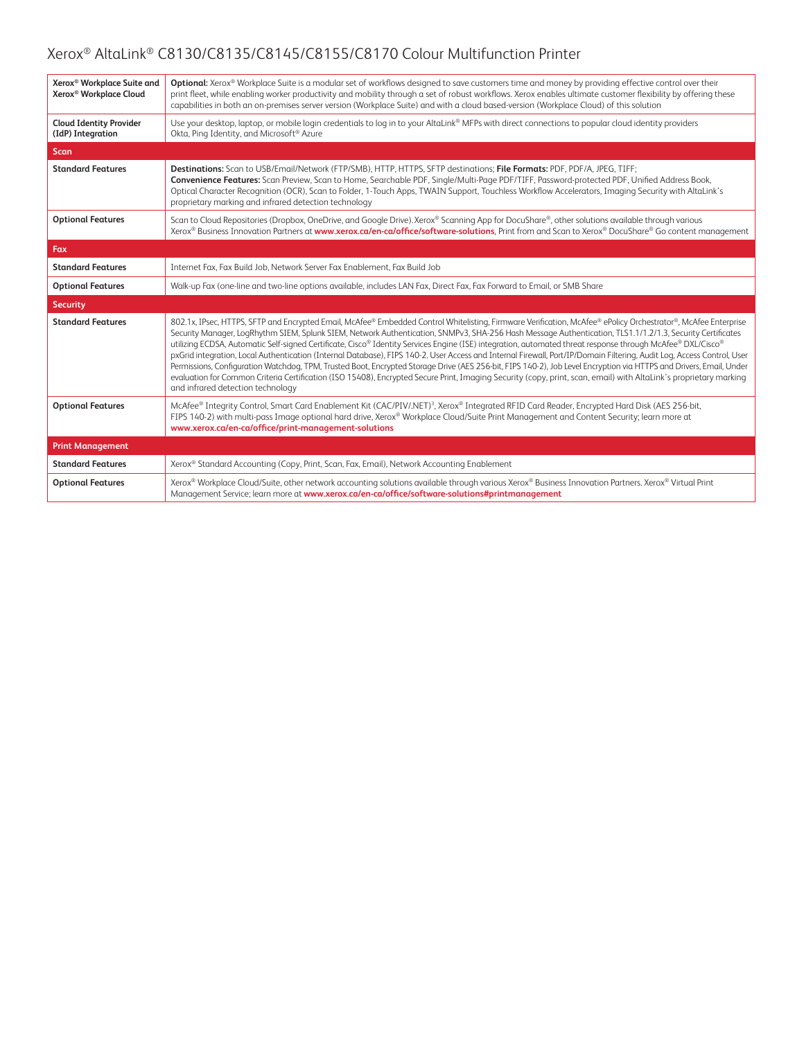| Xerox <sup>®</sup> Workplace Suite and              | Optional: Xerox® Workplace Suite is a modular set of workflows designed to save customers time and money by providing effective control over their                                                                                                                                                                                                                                                                                                                                                                                                                                                                                                                                                                                                                                                                                                                                                                                                                                                                                                    |
|-----------------------------------------------------|-------------------------------------------------------------------------------------------------------------------------------------------------------------------------------------------------------------------------------------------------------------------------------------------------------------------------------------------------------------------------------------------------------------------------------------------------------------------------------------------------------------------------------------------------------------------------------------------------------------------------------------------------------------------------------------------------------------------------------------------------------------------------------------------------------------------------------------------------------------------------------------------------------------------------------------------------------------------------------------------------------------------------------------------------------|
| Xerox <sup>®</sup> Workplace Cloud                  | print fleet, while enabling worker productivity and mobility through a set of robust workflows. Xerox enables ultimate customer flexibility by offering these<br>capabilities in both an on-premises server version (Workplace Suite) and with a cloud based-version (Workplace Cloud) of this solution                                                                                                                                                                                                                                                                                                                                                                                                                                                                                                                                                                                                                                                                                                                                               |
| <b>Cloud Identity Provider</b><br>(IdP) Integration | Use your desktop, laptop, or mobile login credentials to log in to your AltaLink® MFPs with direct connections to popular cloud identity providers<br>Okta, Ping Identity, and Microsoft® Azure                                                                                                                                                                                                                                                                                                                                                                                                                                                                                                                                                                                                                                                                                                                                                                                                                                                       |
| <b>Scan</b>                                         |                                                                                                                                                                                                                                                                                                                                                                                                                                                                                                                                                                                                                                                                                                                                                                                                                                                                                                                                                                                                                                                       |
| <b>Standard Features</b>                            | Destinations: Scan to USB/Email/Network (FTP/SMB), HTTP, HTTPS, SFTP destinations; File Formats: PDF, PDF/A, JPEG, TIFF;<br>Convenience Features: Scan Preview, Scan to Home, Searchable PDF, Single/Multi-Page PDF/TIFF, Password-protected PDF, Unified Address Book,<br>Optical Character Recognition (OCR), Scan to Folder, 1-Touch Apps, TWAIN Support, Touchless Workflow Accelerators, Imaging Security with AltaLink's<br>proprietary marking and infrared detection technology                                                                                                                                                                                                                                                                                                                                                                                                                                                                                                                                                               |
| <b>Optional Features</b>                            | Scan to Cloud Repositories (Dropbox, OneDrive, and Google Drive). Xerox® Scanning App for DocuShare®, other solutions available through various<br>Xerox® Business Innovation Partners at www.xerox.ca/en-ca/office/software-solutions, Print from and Scan to Xerox® DocuShare® Go content management                                                                                                                                                                                                                                                                                                                                                                                                                                                                                                                                                                                                                                                                                                                                                |
| Fax                                                 |                                                                                                                                                                                                                                                                                                                                                                                                                                                                                                                                                                                                                                                                                                                                                                                                                                                                                                                                                                                                                                                       |
| <b>Standard Features</b>                            | Internet Fax, Fax Build Job, Network Server Fax Enablement, Fax Build Job                                                                                                                                                                                                                                                                                                                                                                                                                                                                                                                                                                                                                                                                                                                                                                                                                                                                                                                                                                             |
| <b>Optional Features</b>                            | Walk-up Fax (one-line and two-line options available, includes LAN Fax, Direct Fax, Fax Forward to Email, or SMB Share                                                                                                                                                                                                                                                                                                                                                                                                                                                                                                                                                                                                                                                                                                                                                                                                                                                                                                                                |
| <b>Security</b>                                     |                                                                                                                                                                                                                                                                                                                                                                                                                                                                                                                                                                                                                                                                                                                                                                                                                                                                                                                                                                                                                                                       |
| <b>Standard Features</b>                            | 802.1x, IPsec, HTTPS, SFTP and Encrypted Email, McAfee® Embedded Control Whitelisting, Firmware Verification, McAfee® ePolicy Orchestrator®, McAfee Enterprise<br>Security Manager, LogRhythm SIEM, Splunk SIEM, Network Authentication, SNMPv3, SHA-256 Hash Message Authentication, TLS1.1/1.2/1.3, Security Certificates<br>utilizing ECDSA, Automatic Self-signed Certificate, Cisco® Identity Services Engine (ISE) integration, automated threat response through McAfee® DXL/Cisco®<br>pxGrid integration, Local Authentication (Internal Database), FIPS 140-2. User Access and Internal Firewall, Port/IP/Domain Filtering, Audit Log, Access Control, User<br>Permissions, Configuration Watchdog, TPM, Trusted Boot, Encrypted Storage Drive (AES 256-bit, FIPS 140-2), Job Level Encryption via HTTPS and Drivers, Email, Under<br>evaluation for Common Criteria Certification (ISO 15408), Encrypted Secure Print, Imaging Security (copy, print, scan, email) with AltaLink's proprietary marking<br>and infrared detection technology |
| <b>Optional Features</b>                            | McAfee® Integrity Control, Smart Card Enablement Kit (CAC/PIV/.NET) <sup>3</sup> , Xerox® Integrated RFID Card Reader, Encrypted Hard Disk (AES 256-bit,<br>FIPS 140-2) with multi-pass Image optional hard drive, Xerox® Workplace Cloud/Suite Print Management and Content Security; learn more at<br>www.xerox.ca/en-ca/office/print-management-solutions                                                                                                                                                                                                                                                                                                                                                                                                                                                                                                                                                                                                                                                                                          |
| <b>Print Management</b>                             |                                                                                                                                                                                                                                                                                                                                                                                                                                                                                                                                                                                                                                                                                                                                                                                                                                                                                                                                                                                                                                                       |
| <b>Standard Features</b>                            | Xerox® Standard Accounting (Copy, Print, Scan, Fax, Email), Network Accounting Enablement                                                                                                                                                                                                                                                                                                                                                                                                                                                                                                                                                                                                                                                                                                                                                                                                                                                                                                                                                             |
| <b>Optional Features</b>                            | Xerox® Workplace Cloud/Suite, other network accounting solutions available through various Xerox® Business Innovation Partners. Xerox® Virtual Print<br>Management Service; learn more at www.xerox.ca/en-ca/office/software-solutions#printmanagement                                                                                                                                                                                                                                                                                                                                                                                                                                                                                                                                                                                                                                                                                                                                                                                                |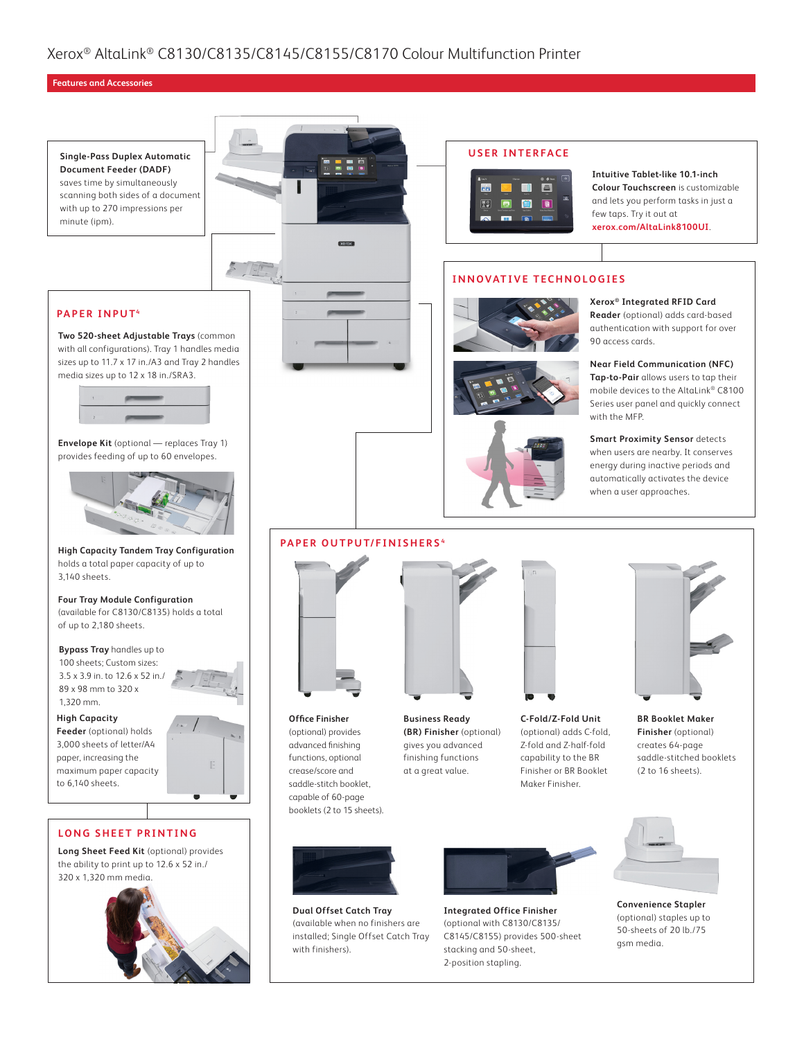#### **Features and Accessories**

**Single-Pass Duplex Automatic Document Feeder (DADF)** saves time by simultaneously scanning both sides of a document with up to 270 impressions per minute (ipm).

#### **PAPER INPUT4**

**Two 520-sheet Adjustable Trays** (common with all configurations). Tray 1 handles media sizes up to 11.7 x 17 in./A3 and Tray 2 handles media sizes up to 12 x 18 in./SRA3.



**Envelope Kit** (optional — replaces Tray 1) provides feeding of up to 60 envelopes.



**High Capacity Tandem Tray Configuration** holds a total paper capacity of up to 3,140 sheets.

**Four Tray Module Configuration** (available for C8130/C8135) holds a total of up to 2,180 sheets.

**Bypass Tray** handles up to 100 sheets; Custom sizes:

3.5 x 3.9 in. to 12.6 x 52 in./ 89 x 98 mm to 320 x 1,320 mm.

**High Capacity** 

**Feeder** (optional) holds 3,000 sheets of letter/A4 paper, increasing the maximum paper capacity to 6,140 sheets.

#### **LONG SHEET PRINTING**

**Long Sheet Feed Kit** (optional) provides the ability to print up to 12.6 x 52 in./ 320 x 1,320 mm media.











**Intuitive Tablet-like 10.1-inch Colour Touchscreen** is customizable and lets you perform tasks in just a few taps. Try it out at **[xerox.com/AltaLink8100UI](https://www.xerox.com/AltaLink8100UI)**.

#### **INNOVATIVE TECHNOLOGIES**







**Xerox® Integrated RFID Card Reader** (optional) adds card-based authentication with support for over 90 access cards.

**Near Field Communication (NFC) Tap-to-Pair** allows users to tap their mobile devices to the AltaLink® C8100 Series user panel and quickly connect with the MFP.

**Smart Proximity Sensor** detects when users are nearby. It conserves energy during inactive periods and automatically activates the device when a user approaches.

#### **PAPER OUTPUT/FINISHERS <sup>4</sup>**



**Office Finisher**  (optional) provides advanced finishing functions, optional crease/score and saddle-stitch booklet, capable of 60-page booklets (2 to 15 sheets). **Business Ready (BR) Finisher** (optional) gives you advanced finishing functions at a great value.



**C-Fold/Z-Fold Unit** (optional) adds C-fold, Z-fold and Z-half-fold capability to the BR Finisher or BR Booklet Maker Finisher.



**Finisher** (optional) creates 64-page saddle-stitched booklets (2 to 16 sheets).



**Dual Offset Catch Tray** (available when no finishers are installed; Single Offset Catch Tray with finishers).



**Integrated Office Finisher** (optional with C8130/C8135/ C8145/C8155) provides 500-sheet stacking and 50-sheet, 2-position stapling.



**Convenience Stapler** (optional) staples up to 50-sheets of 20 lb./75 gsm media.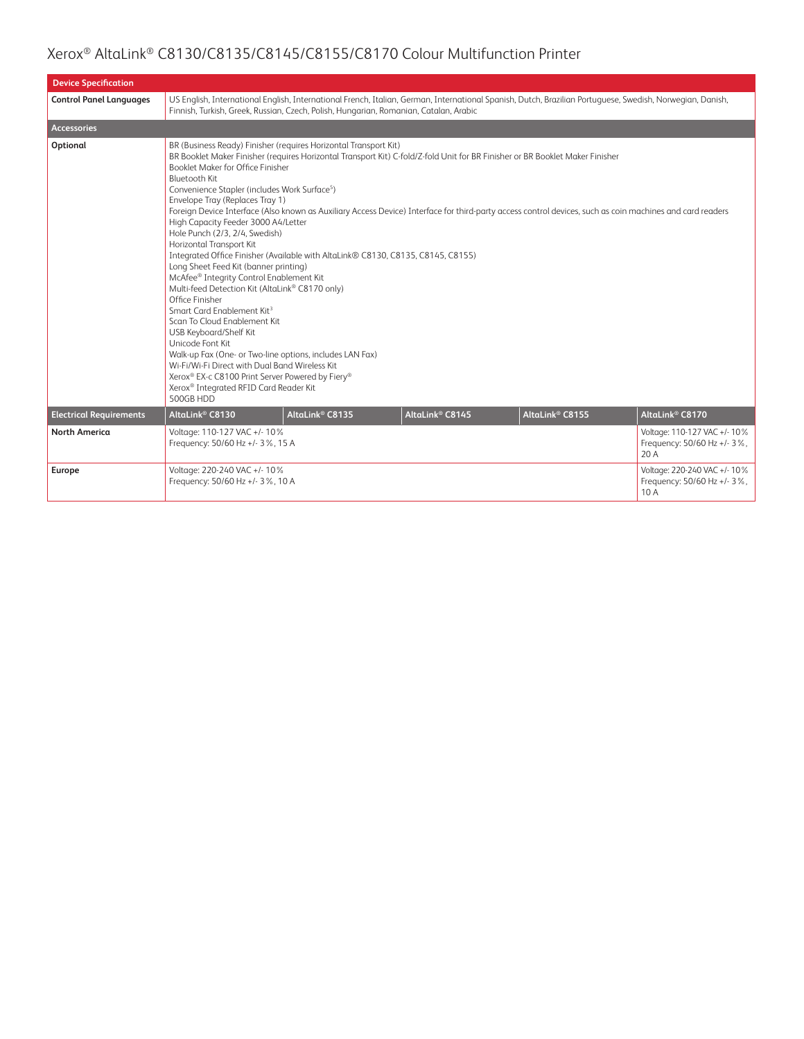| <b>Device Specification</b>    |                                                                                                                                                                                                                                                                                                                                                                                                                                                                                                                                                                                                                                                                                                                                                                                                                                                                                                                                    |                                                                                                                                                                                                                                                    |                             |                                                                                                                                                                                                                                                                                            |                                                                     |  |  |
|--------------------------------|------------------------------------------------------------------------------------------------------------------------------------------------------------------------------------------------------------------------------------------------------------------------------------------------------------------------------------------------------------------------------------------------------------------------------------------------------------------------------------------------------------------------------------------------------------------------------------------------------------------------------------------------------------------------------------------------------------------------------------------------------------------------------------------------------------------------------------------------------------------------------------------------------------------------------------|----------------------------------------------------------------------------------------------------------------------------------------------------------------------------------------------------------------------------------------------------|-----------------------------|--------------------------------------------------------------------------------------------------------------------------------------------------------------------------------------------------------------------------------------------------------------------------------------------|---------------------------------------------------------------------|--|--|
| <b>Control Panel Languages</b> |                                                                                                                                                                                                                                                                                                                                                                                                                                                                                                                                                                                                                                                                                                                                                                                                                                                                                                                                    | US English, International English, International French, Italian, German, International Spanish, Dutch, Brazilian Portuguese, Swedish, Norwegian, Danish,<br>Finnish, Turkish, Greek, Russian, Czech, Polish, Hungarian, Romanian, Catalan, Arabic |                             |                                                                                                                                                                                                                                                                                            |                                                                     |  |  |
| <b>Accessories</b>             |                                                                                                                                                                                                                                                                                                                                                                                                                                                                                                                                                                                                                                                                                                                                                                                                                                                                                                                                    |                                                                                                                                                                                                                                                    |                             |                                                                                                                                                                                                                                                                                            |                                                                     |  |  |
| Optional                       | BR (Business Ready) Finisher (requires Horizontal Transport Kit)<br>Booklet Maker for Office Finisher<br><b>Bluetooth Kit</b><br>Convenience Stapler (includes Work Surface <sup>5</sup> )<br>Envelope Tray (Replaces Tray 1)<br>High Capacity Feeder 3000 A4/Letter<br>Hole Punch (2/3, 2/4, Swedish)<br>Horizontal Transport Kit<br>Integrated Office Finisher (Available with AltaLink® C8130, C8135, C8145, C8155)<br>Long Sheet Feed Kit (banner printing)<br>McAfee® Integrity Control Enablement Kit<br>Multi-feed Detection Kit (AltaLink® C8170 only)<br>Office Finisher<br>Smart Card Enablement Kit <sup>3</sup><br>Scan To Cloud Enablement Kit<br>USB Keyboard/Shelf Kit<br>Unicode Font Kit<br>Walk-up Fax (One- or Two-line options, includes LAN Fax)<br>Wi-Fi/Wi-Fi Direct with Dual Band Wireless Kit<br>Xerox® EX-c C8100 Print Server Powered by Fiery®<br>Xerox® Integrated RFID Card Reader Kit<br>500GB HDD |                                                                                                                                                                                                                                                    |                             | BR Booklet Maker Finisher (requires Horizontal Transport Kit) C-fold/Z-fold Unit for BR Finisher or BR Booklet Maker Finisher<br>Foreign Device Interface (Also known as Auxiliary Access Device) Interface for third-party access control devices, such as coin machines and card readers |                                                                     |  |  |
| <b>Electrical Requirements</b> | AltaLink <sup>®</sup> C8130                                                                                                                                                                                                                                                                                                                                                                                                                                                                                                                                                                                                                                                                                                                                                                                                                                                                                                        | AltaLink <sup>®</sup> C8135                                                                                                                                                                                                                        | AltaLink <sup>®</sup> C8145 | AltaLink <sup>®</sup> C8155                                                                                                                                                                                                                                                                | AltaLink <sup>®</sup> C8170                                         |  |  |
| <b>North America</b>           | Voltage: 110-127 VAC +/- 10%<br>Frequency: 50/60 Hz +/- 3%, 15 A                                                                                                                                                                                                                                                                                                                                                                                                                                                                                                                                                                                                                                                                                                                                                                                                                                                                   |                                                                                                                                                                                                                                                    |                             |                                                                                                                                                                                                                                                                                            | Voltage: 110-127 VAC +/- 10%<br>Frequency: 50/60 Hz +/- 3%,<br>20 A |  |  |
| Europe                         | Voltage: 220-240 VAC +/- 10%<br>Frequency: 50/60 Hz +/- 3%, 10 A                                                                                                                                                                                                                                                                                                                                                                                                                                                                                                                                                                                                                                                                                                                                                                                                                                                                   |                                                                                                                                                                                                                                                    |                             |                                                                                                                                                                                                                                                                                            | Voltage: 220-240 VAC +/- 10%<br>Frequency: 50/60 Hz +/- 3%,<br>10 A |  |  |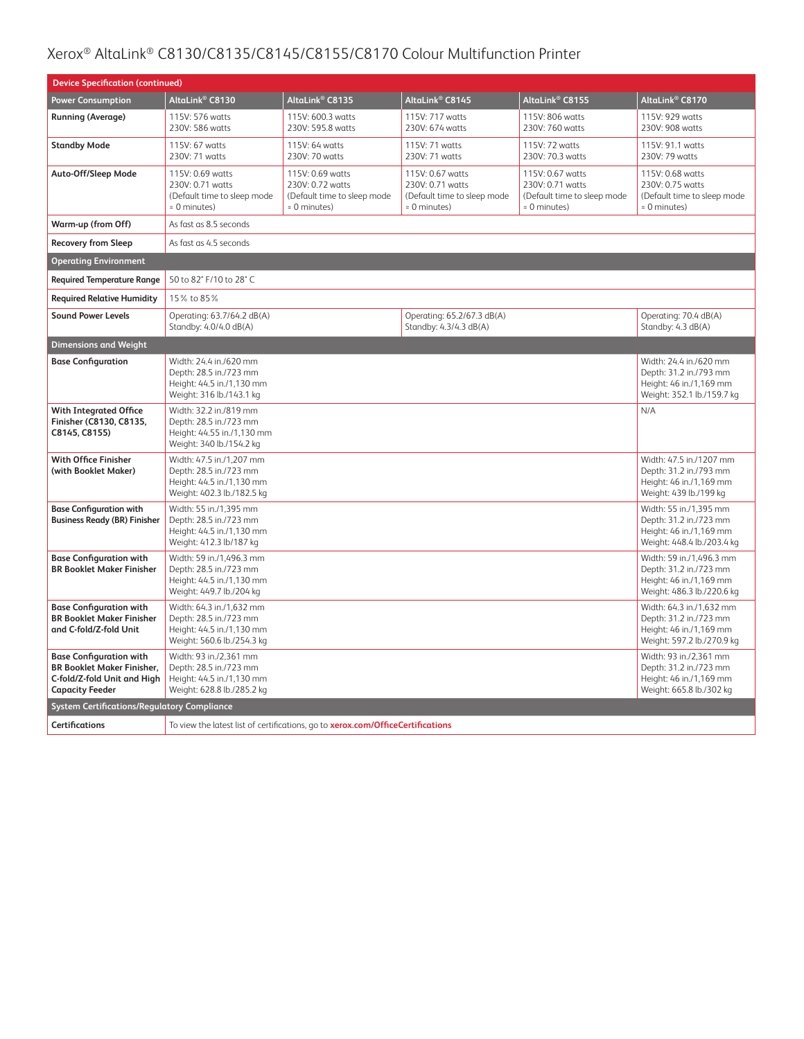| <b>Device Specification (continued)</b>                                                                                      |                                                                                                               |                                                                                     |                                                                                     |                                                                                     |                                                                                                             |  |
|------------------------------------------------------------------------------------------------------------------------------|---------------------------------------------------------------------------------------------------------------|-------------------------------------------------------------------------------------|-------------------------------------------------------------------------------------|-------------------------------------------------------------------------------------|-------------------------------------------------------------------------------------------------------------|--|
| <b>Power Consumption</b>                                                                                                     | AltaLink® C8130                                                                                               | AltaLink® C8135                                                                     | AltaLink <sup>®</sup> C8145                                                         | AltaLink <sup>®</sup> C8155                                                         | AltaLink® C8170                                                                                             |  |
| <b>Running (Average)</b>                                                                                                     | 115V: 576 watts<br>230V: 586 watts                                                                            | 115V: 600.3 watts<br>230V: 595.8 watts                                              | 115V: 717 watts<br>230V: 674 watts                                                  | 115V: 806 watts<br>230V: 760 watts                                                  | 115V: 929 watts<br>230V: 908 watts                                                                          |  |
| <b>Standby Mode</b>                                                                                                          | 115V: 67 watts<br>230V: 71 watts                                                                              | 115V: 64 watts<br>230V: 70 watts                                                    | 115V: 71 watts<br>230V: 71 watts                                                    | 115V: 72 watts<br>230V: 70.3 watts                                                  | 115V: 91.1 watts<br>230V: 79 watts                                                                          |  |
| Auto-Off/Sleep Mode                                                                                                          | 115V: 0.69 watts<br>230V: 0.71 watts<br>(Default time to sleep mode<br>= 0 minutes)                           | 115V: 0.69 watts<br>230V: 0.72 watts<br>(Default time to sleep mode<br>= 0 minutes) | 115V: 0.67 watts<br>230V: 0.71 watts<br>(Default time to sleep mode<br>= 0 minutes) | 115V: 0.67 watts<br>230V: 0.71 watts<br>(Default time to sleep mode<br>= 0 minutes) | 115V: 0.68 watts<br>230V: 0.75 watts<br>(Default time to sleep mode<br>= 0 minutes)                         |  |
| Warm-up (from Off)                                                                                                           | As fast as 8.5 seconds                                                                                        |                                                                                     |                                                                                     |                                                                                     |                                                                                                             |  |
| <b>Recovery from Sleep</b>                                                                                                   | As fast as 4.5 seconds                                                                                        |                                                                                     |                                                                                     |                                                                                     |                                                                                                             |  |
| <b>Operating Environment</b>                                                                                                 |                                                                                                               |                                                                                     |                                                                                     |                                                                                     |                                                                                                             |  |
| <b>Required Temperature Range</b>                                                                                            | 50 to 82° F/10 to 28° C                                                                                       |                                                                                     |                                                                                     |                                                                                     |                                                                                                             |  |
| <b>Required Relative Humidity</b>                                                                                            | 15% to 85%                                                                                                    |                                                                                     |                                                                                     |                                                                                     |                                                                                                             |  |
| <b>Sound Power Levels</b>                                                                                                    | Operating: 63.7/64.2 dB(A)<br>Standby: 4.0/4.0 dB(A)                                                          |                                                                                     | Operating: 65.2/67.3 dB(A)<br>Standby: 4.3/4.3 dB(A)                                |                                                                                     | Operating: 70.4 dB(A)<br>Standby: 4.3 dB(A)                                                                 |  |
| <b>Dimensions and Weight</b>                                                                                                 |                                                                                                               |                                                                                     |                                                                                     |                                                                                     |                                                                                                             |  |
| <b>Base Configuration</b>                                                                                                    | Width: 24.4 in./620 mm<br>Depth: 28.5 in./723 mm<br>Height: 44.5 in./1,130 mm<br>Weight: 316 lb./143.1 kg     |                                                                                     |                                                                                     |                                                                                     | Width: 24.4 in./620 mm<br>Depth: 31.2 in./793 mm<br>Height: 46 in./1,169 mm<br>Weight: 352.1 lb./159.7 kg   |  |
| <b>With Integrated Office</b><br>Finisher (C8130, C8135,<br>C8145, C8155)                                                    | Width: 32.2 in./819 mm<br>Depth: 28.5 in./723 mm<br>Height: 44.55 in./1,130 mm<br>Weight: 340 lb./154.2 kg    |                                                                                     |                                                                                     |                                                                                     | N/A                                                                                                         |  |
| <b>With Office Finisher</b><br>(with Booklet Maker)                                                                          | Width: 47.5 in./1,207 mm<br>Depth: 28.5 in./723 mm<br>Height: 44.5 in./1,130 mm<br>Weight: 402.3 lb./182.5 kg |                                                                                     |                                                                                     |                                                                                     | Width: 47.5 in./1207 mm<br>Depth: 31.2 in./793 mm<br>Height: 46 in./1,169 mm<br>Weight: 439 lb./199 kg      |  |
| <b>Base Configuration with</b><br><b>Business Ready (BR) Finisher</b>                                                        | Width: 55 in./1,395 mm<br>Depth: 28.5 in./723 mm<br>Height: 44.5 in./1,130 mm<br>Weight: 412.3 lb/187 kg      |                                                                                     |                                                                                     |                                                                                     | Width: 55 in./1,395 mm<br>Depth: 31.2 in./723 mm<br>Height: 46 in./1,169 mm<br>Weight: 448.4 lb./203.4 kg   |  |
| <b>Base Configuration with</b><br><b>BR Booklet Maker Finisher</b>                                                           | Width: 59 in./1,496.3 mm<br>Depth: 28.5 in./723 mm<br>Height: 44.5 in./1,130 mm<br>Weight: 449.7 lb./204 kg   |                                                                                     |                                                                                     |                                                                                     | Width: 59 in./1,496.3 mm<br>Depth: 31.2 in./723 mm<br>Height: 46 in./1,169 mm<br>Weight: 486.3 lb./220.6 kg |  |
| <b>Base Configuration with</b><br><b>BR Booklet Maker Finisher</b><br>and C-fold/Z-fold Unit                                 | Width: 64.3 in./1,632 mm<br>Depth: 28.5 in./723 mm<br>Height: 44.5 in./1,130 mm<br>Weight: 560.6 lb./254.3 kg |                                                                                     |                                                                                     |                                                                                     | Width: 64.3 in./1,632 mm<br>Depth: 31.2 in./723 mm<br>Height: 46 in./1,169 mm<br>Weight: 597.2 lb./270.9 kg |  |
| <b>Base Configuration with</b><br><b>BR Booklet Maker Finisher.</b><br>C-fold/Z-fold Unit and High<br><b>Capacity Feeder</b> | Width: 93 in./2,361 mm<br>Depth: 28.5 in./723 mm<br>Height: 44.5 in./1,130 mm<br>Weight: 628.8 lb./285.2 kg   |                                                                                     |                                                                                     |                                                                                     | Width: 93 in./2,361 mm<br>Depth: 31.2 in./723 mm<br>Height: 46 in./1,169 mm<br>Weight: 665.8 lb./302 kg     |  |
| <b>System Certifications/Regulatory Compliance</b>                                                                           |                                                                                                               |                                                                                     |                                                                                     |                                                                                     |                                                                                                             |  |
| <b>Certifications</b>                                                                                                        |                                                                                                               | To view the latest list of certifications, go to xerox.com/OfficeCertifications     |                                                                                     |                                                                                     |                                                                                                             |  |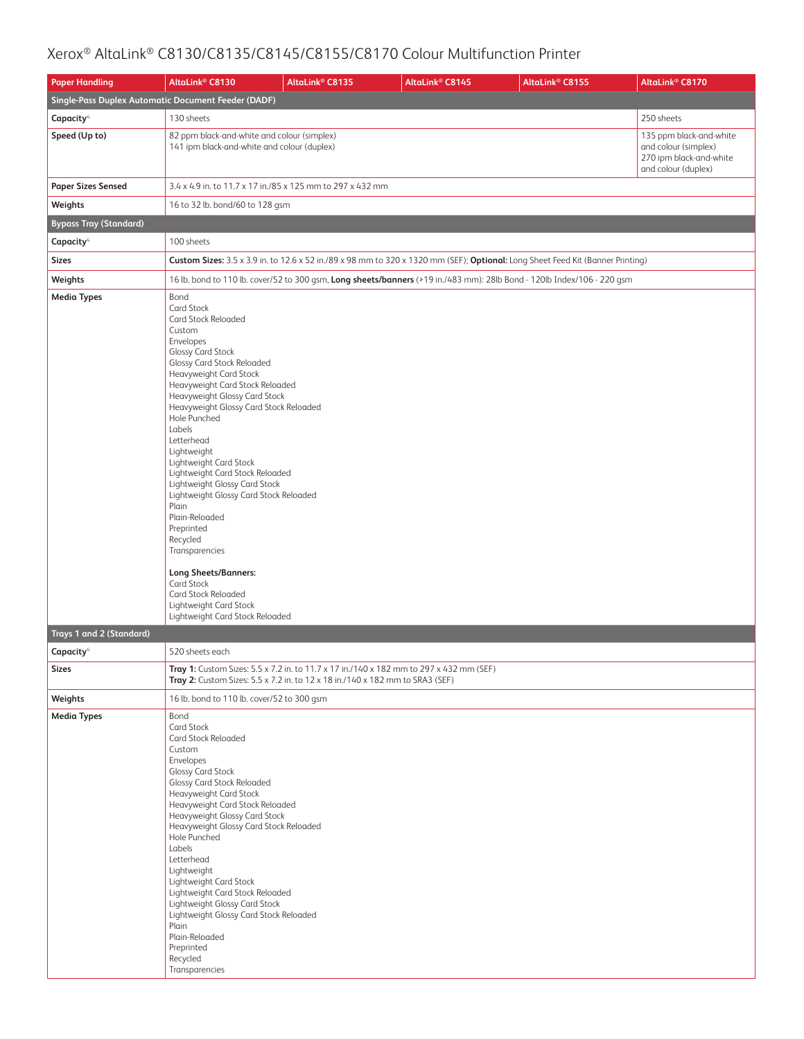| <b>Paper Handling</b>                               | AltaLink <sup>®</sup> C8130                                                                                                                                                                                                                                                                                                                                                                                                                                                                                                                                                                                                                                                             | AltaLink <sup>®</sup> C8135                                                                                                                                              | AltaLink® C8145 | AltaLink <sup>®</sup> C8155                                                                                                     | AltaLink <sup>®</sup> C8170                                                                       |  |  |  |
|-----------------------------------------------------|-----------------------------------------------------------------------------------------------------------------------------------------------------------------------------------------------------------------------------------------------------------------------------------------------------------------------------------------------------------------------------------------------------------------------------------------------------------------------------------------------------------------------------------------------------------------------------------------------------------------------------------------------------------------------------------------|--------------------------------------------------------------------------------------------------------------------------------------------------------------------------|-----------------|---------------------------------------------------------------------------------------------------------------------------------|---------------------------------------------------------------------------------------------------|--|--|--|
| Single-Pass Duplex Automatic Document Feeder (DADF) |                                                                                                                                                                                                                                                                                                                                                                                                                                                                                                                                                                                                                                                                                         |                                                                                                                                                                          |                 |                                                                                                                                 |                                                                                                   |  |  |  |
| Capacity <sup>4</sup>                               | 130 sheets                                                                                                                                                                                                                                                                                                                                                                                                                                                                                                                                                                                                                                                                              |                                                                                                                                                                          |                 |                                                                                                                                 | 250 sheets                                                                                        |  |  |  |
| Speed (Up to)                                       | 82 ppm black-and-white and colour (simplex)<br>141 ipm black-and-white and colour (duplex)                                                                                                                                                                                                                                                                                                                                                                                                                                                                                                                                                                                              |                                                                                                                                                                          |                 |                                                                                                                                 | 135 ppm black-and-white<br>and colour (simplex)<br>270 ipm black-and-white<br>and colour (duplex) |  |  |  |
| <b>Paper Sizes Sensed</b>                           | 3.4 x 4.9 in. to 11.7 x 17 in./85 x 125 mm to 297 x 432 mm                                                                                                                                                                                                                                                                                                                                                                                                                                                                                                                                                                                                                              |                                                                                                                                                                          |                 |                                                                                                                                 |                                                                                                   |  |  |  |
| Weights                                             | 16 to 32 lb. bond/60 to 128 gsm                                                                                                                                                                                                                                                                                                                                                                                                                                                                                                                                                                                                                                                         |                                                                                                                                                                          |                 |                                                                                                                                 |                                                                                                   |  |  |  |
| <b>Bypass Tray (Standard)</b>                       |                                                                                                                                                                                                                                                                                                                                                                                                                                                                                                                                                                                                                                                                                         |                                                                                                                                                                          |                 |                                                                                                                                 |                                                                                                   |  |  |  |
| Capacity <sup>4</sup>                               | 100 sheets                                                                                                                                                                                                                                                                                                                                                                                                                                                                                                                                                                                                                                                                              |                                                                                                                                                                          |                 |                                                                                                                                 |                                                                                                   |  |  |  |
| <b>Sizes</b>                                        |                                                                                                                                                                                                                                                                                                                                                                                                                                                                                                                                                                                                                                                                                         |                                                                                                                                                                          |                 | Custom Sizes: 3.5 x 3.9 in. to 12.6 x 52 in./89 x 98 mm to 320 x 1320 mm (SEF); Optional: Long Sheet Feed Kit (Banner Printing) |                                                                                                   |  |  |  |
| Weights                                             |                                                                                                                                                                                                                                                                                                                                                                                                                                                                                                                                                                                                                                                                                         |                                                                                                                                                                          |                 | 16 lb. bond to 110 lb. cover/52 to 300 gsm, Long sheets/banners (>19 in./483 mm): 28lb Bond - 120lb Index/106 - 220 gsm         |                                                                                                   |  |  |  |
| <b>Media Types</b>                                  | Bond<br>Card Stock<br>Card Stock Reloaded<br>Custom<br>Envelopes<br><b>Glossy Card Stock</b><br><b>Glossy Card Stock Reloaded</b><br>Heavyweight Card Stock<br>Heavyweight Card Stock Reloaded<br>Heavyweight Glossy Card Stock<br>Heavyweight Glossy Card Stock Reloaded<br>Hole Punched<br>Labels<br>Letterhead<br>Lightweight<br>Lightweight Card Stock<br>Lightweight Card Stock Reloaded<br>Lightweight Glossy Card Stock<br>Lightweight Glossy Card Stock Reloaded<br>Plain<br>Plain-Reloaded<br>Preprinted<br>Recycled<br>Transparencies<br><b>Long Sheets/Banners:</b><br>Card Stock<br><b>Card Stock Reloaded</b><br>Lightweight Card Stock<br>Lightweight Card Stock Reloaded |                                                                                                                                                                          |                 |                                                                                                                                 |                                                                                                   |  |  |  |
| Trays 1 and 2 (Standard)                            |                                                                                                                                                                                                                                                                                                                                                                                                                                                                                                                                                                                                                                                                                         |                                                                                                                                                                          |                 |                                                                                                                                 |                                                                                                   |  |  |  |
| Capacity <sup>4</sup>                               | 520 sheets each                                                                                                                                                                                                                                                                                                                                                                                                                                                                                                                                                                                                                                                                         |                                                                                                                                                                          |                 |                                                                                                                                 |                                                                                                   |  |  |  |
| <b>Sizes</b>                                        |                                                                                                                                                                                                                                                                                                                                                                                                                                                                                                                                                                                                                                                                                         | Tray 1: Custom Sizes: 5.5 x 7.2 in. to 11.7 x 17 in./140 x 182 mm to 297 x 432 mm (SEF)<br>Tray 2: Custom Sizes: 5.5 x 7.2 in. to 12 x 18 in./140 x 182 mm to SRA3 (SEF) |                 |                                                                                                                                 |                                                                                                   |  |  |  |
| Weights                                             | 16 lb. bond to 110 lb. cover/52 to 300 gsm                                                                                                                                                                                                                                                                                                                                                                                                                                                                                                                                                                                                                                              |                                                                                                                                                                          |                 |                                                                                                                                 |                                                                                                   |  |  |  |
| <b>Media Types</b>                                  | Bond<br>Card Stock<br>Card Stock Reloaded<br>Custom<br>Envelopes<br><b>Glossy Card Stock</b><br><b>Glossy Card Stock Reloaded</b><br>Heavyweight Card Stock<br>Heavyweight Card Stock Reloaded<br>Heavyweight Glossy Card Stock<br>Heavyweight Glossy Card Stock Reloaded<br>Hole Punched<br>Labels<br>Letterhead<br>Lightweight<br>Lightweight Card Stock<br>Lightweight Card Stock Reloaded<br>Lightweight Glossy Card Stock<br>Lightweight Glossy Card Stock Reloaded<br>Plain<br>Plain-Reloaded<br>Preprinted<br>Recycled<br>Transparencies                                                                                                                                         |                                                                                                                                                                          |                 |                                                                                                                                 |                                                                                                   |  |  |  |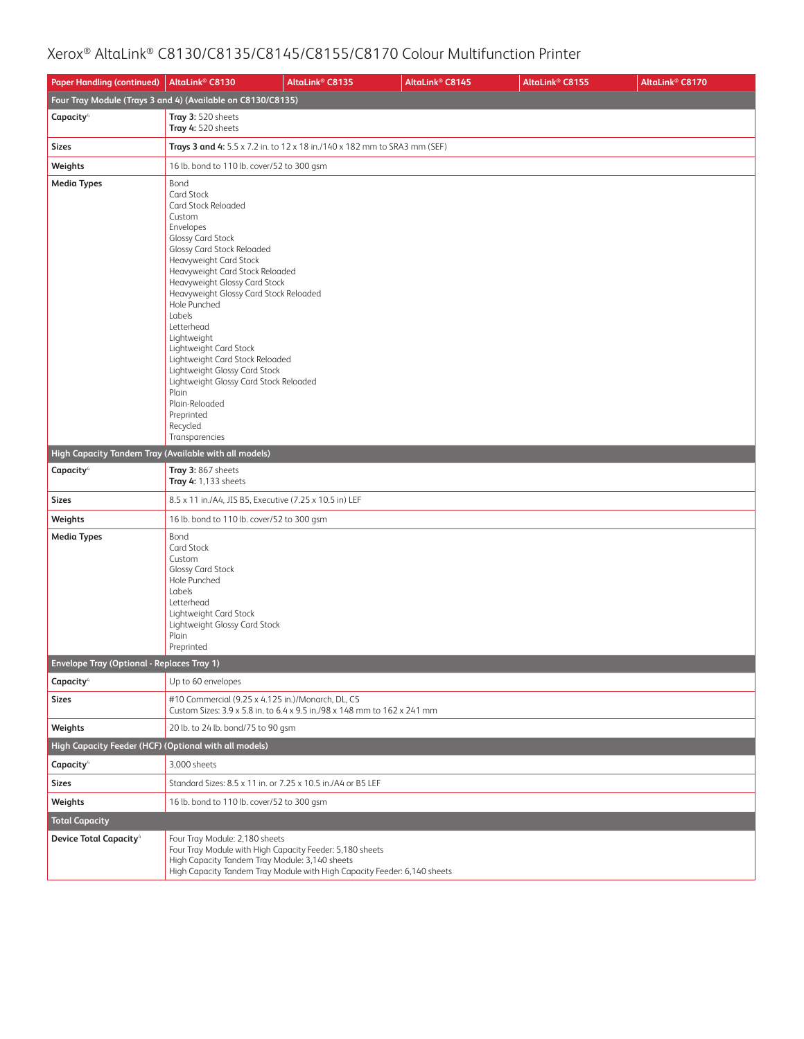| <b>Paper Handling (continued)</b>                     | AltaLink <sup>®</sup> C8130                                                                                                                                                                                                                                                                                                                                                                                                                                                                                                              | AltaLink <sup>®</sup> C8135                                               | AltaLink <sup>®</sup> C8145 | AltaLink® C8155 | AltaLink <sup>®</sup> C8170 |
|-------------------------------------------------------|------------------------------------------------------------------------------------------------------------------------------------------------------------------------------------------------------------------------------------------------------------------------------------------------------------------------------------------------------------------------------------------------------------------------------------------------------------------------------------------------------------------------------------------|---------------------------------------------------------------------------|-----------------------------|-----------------|-----------------------------|
|                                                       | Four Tray Module (Trays 3 and 4) (Available on C8130/C8135)                                                                                                                                                                                                                                                                                                                                                                                                                                                                              |                                                                           |                             |                 |                             |
| Capacity <sup>4</sup>                                 | Tray 3: 520 sheets<br>Tray 4: 520 sheets                                                                                                                                                                                                                                                                                                                                                                                                                                                                                                 |                                                                           |                             |                 |                             |
| <b>Sizes</b>                                          |                                                                                                                                                                                                                                                                                                                                                                                                                                                                                                                                          | Trays 3 and 4: 5.5 x 7.2 in. to 12 x 18 in./140 x 182 mm to SRA3 mm (SEF) |                             |                 |                             |
| Weights                                               | 16 lb. bond to 110 lb. cover/52 to 300 gsm                                                                                                                                                                                                                                                                                                                                                                                                                                                                                               |                                                                           |                             |                 |                             |
| <b>Media Types</b>                                    | Bond<br>Card Stock<br>Card Stock Reloaded<br>Custom<br>Envelopes<br><b>Glossy Card Stock</b><br>Glossy Card Stock Reloaded<br>Heavyweight Card Stock<br>Heavyweight Card Stock Reloaded<br>Heavyweight Glossy Card Stock<br>Heavyweight Glossy Card Stock Reloaded<br>Hole Punched<br>Labels<br>Letterhead<br>Lightweight<br>Lightweight Card Stock<br>Lightweight Card Stock Reloaded<br>Lightweight Glossy Card Stock<br>Lightweight Glossy Card Stock Reloaded<br>Plain<br>Plain-Reloaded<br>Preprinted<br>Recycled<br>Transparencies |                                                                           |                             |                 |                             |
| High Capacity Tandem Tray (Available with all models) |                                                                                                                                                                                                                                                                                                                                                                                                                                                                                                                                          |                                                                           |                             |                 |                             |
| Capacity <sup>4</sup>                                 | Tray 3: 867 sheets<br>Tray 4: 1,133 sheets                                                                                                                                                                                                                                                                                                                                                                                                                                                                                               |                                                                           |                             |                 |                             |
| <b>Sizes</b>                                          | 8.5 x 11 in./A4, JIS B5, Executive (7.25 x 10.5 in) LEF                                                                                                                                                                                                                                                                                                                                                                                                                                                                                  |                                                                           |                             |                 |                             |
| Weights                                               | 16 lb. bond to 110 lb. cover/52 to 300 gsm                                                                                                                                                                                                                                                                                                                                                                                                                                                                                               |                                                                           |                             |                 |                             |
| <b>Media Types</b>                                    | Bond<br>Card Stock<br>Custom<br>Glossy Card Stock<br>Hole Punched<br>Labels<br>Letterhead<br>Lightweight Card Stock<br>Lightweight Glossy Card Stock<br>Plain<br>Preprinted                                                                                                                                                                                                                                                                                                                                                              |                                                                           |                             |                 |                             |
| <b>Envelope Tray (Optional - Replaces Tray 1)</b>     |                                                                                                                                                                                                                                                                                                                                                                                                                                                                                                                                          |                                                                           |                             |                 |                             |
| Capacity <sup>4</sup>                                 | Up to 60 envelopes                                                                                                                                                                                                                                                                                                                                                                                                                                                                                                                       |                                                                           |                             |                 |                             |
| <b>Sizes</b>                                          | #10 Commercial (9.25 x 4.125 in.)/Monarch, DL, C5                                                                                                                                                                                                                                                                                                                                                                                                                                                                                        | Custom Sizes: 3.9 x 5.8 in. to 6.4 x 9.5 in./98 x 148 mm to 162 x 241 mm  |                             |                 |                             |
| Weights                                               | 20 lb. to 24 lb. bond/75 to 90 gsm                                                                                                                                                                                                                                                                                                                                                                                                                                                                                                       |                                                                           |                             |                 |                             |
| High Capacity Feeder (HCF) (Optional with all models) |                                                                                                                                                                                                                                                                                                                                                                                                                                                                                                                                          |                                                                           |                             |                 |                             |
| Capacity <sup>4</sup>                                 | 3,000 sheets                                                                                                                                                                                                                                                                                                                                                                                                                                                                                                                             |                                                                           |                             |                 |                             |
| <b>Sizes</b>                                          | Standard Sizes: 8.5 x 11 in, or 7.25 x 10.5 in./A4 or B5 LEF                                                                                                                                                                                                                                                                                                                                                                                                                                                                             |                                                                           |                             |                 |                             |
| Weights                                               | 16 lb. bond to 110 lb. cover/52 to 300 gsm                                                                                                                                                                                                                                                                                                                                                                                                                                                                                               |                                                                           |                             |                 |                             |
| <b>Total Capacity</b>                                 |                                                                                                                                                                                                                                                                                                                                                                                                                                                                                                                                          |                                                                           |                             |                 |                             |
| <b>Device Total Capacity</b> <sup>4</sup>             | Four Tray Module: 2,180 sheets<br>Four Tray Module with High Capacity Feeder: 5,180 sheets<br>High Capacity Tandem Tray Module: 3,140 sheets                                                                                                                                                                                                                                                                                                                                                                                             | High Capacity Tandem Tray Module with High Capacity Feeder: 6,140 sheets  |                             |                 |                             |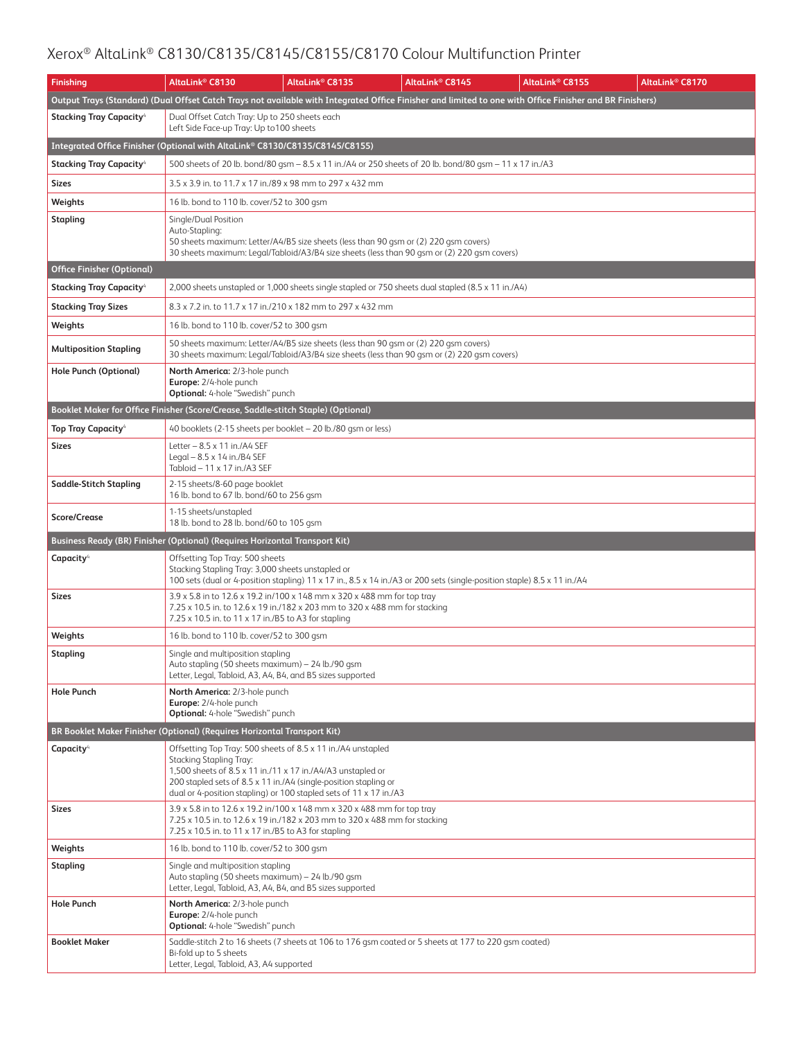| <b>Finishing</b>                           | AltaLink® C8130                                                                                                                                        | AltaLink <sup>®</sup> C8135                                                                                                                                                         | AltaLink <sup>®</sup> C8145 | AltaLink® C8155                                                                                                                                          | AltaLink <sup>®</sup> C8170 |
|--------------------------------------------|--------------------------------------------------------------------------------------------------------------------------------------------------------|-------------------------------------------------------------------------------------------------------------------------------------------------------------------------------------|-----------------------------|----------------------------------------------------------------------------------------------------------------------------------------------------------|-----------------------------|
|                                            |                                                                                                                                                        |                                                                                                                                                                                     |                             | Output Trays (Standard) (Dual Offset Catch Trays not available with Integrated Office Finisher and limited to one with Office Finisher and BR Finishers) |                             |
| <b>Stacking Tray Capacity</b> <sup>4</sup> | Dual Offset Catch Tray: Up to 250 sheets each<br>Left Side Face-up Tray: Up to 100 sheets                                                              |                                                                                                                                                                                     |                             |                                                                                                                                                          |                             |
|                                            | Integrated Office Finisher (Optional with AltaLink® C8130/C8135/C8145/C8155)                                                                           |                                                                                                                                                                                     |                             |                                                                                                                                                          |                             |
| Stacking Tray Capacity <sup>4</sup>        |                                                                                                                                                        | 500 sheets of 20 lb. bond/80 gsm – 8.5 x 11 in./A4 or 250 sheets of 20 lb. bond/80 gsm – 11 x 17 in./A3                                                                             |                             |                                                                                                                                                          |                             |
| Sizes                                      | 3.5 x 3.9 in. to 11.7 x 17 in./89 x 98 mm to 297 x 432 mm                                                                                              |                                                                                                                                                                                     |                             |                                                                                                                                                          |                             |
| Weights                                    | 16 lb. bond to 110 lb. cover/52 to 300 gsm                                                                                                             |                                                                                                                                                                                     |                             |                                                                                                                                                          |                             |
| Stapling                                   | Single/Dual Position<br>Auto-Stapling:                                                                                                                 | 50 sheets maximum: Letter/A4/B5 size sheets (less than 90 gsm or (2) 220 gsm covers)<br>30 sheets maximum: Legal/Tabloid/A3/B4 size sheets (less than 90 qsm or (2) 220 qsm covers) |                             |                                                                                                                                                          |                             |
| <b>Office Finisher (Optional)</b>          |                                                                                                                                                        |                                                                                                                                                                                     |                             |                                                                                                                                                          |                             |
| <b>Stacking Tray Capacity</b> <sup>4</sup> |                                                                                                                                                        | 2,000 sheets unstapled or 1,000 sheets single stapled or 750 sheets dual stapled (8.5 x 11 in./A4)                                                                                  |                             |                                                                                                                                                          |                             |
| <b>Stacking Tray Sizes</b>                 | 8.3 x 7.2 in. to 11.7 x 17 in./210 x 182 mm to 297 x 432 mm                                                                                            |                                                                                                                                                                                     |                             |                                                                                                                                                          |                             |
| Weights                                    | 16 lb. bond to 110 lb. cover/52 to 300 gsm                                                                                                             |                                                                                                                                                                                     |                             |                                                                                                                                                          |                             |
| <b>Multiposition Stapling</b>              |                                                                                                                                                        | 50 sheets maximum: Letter/A4/B5 size sheets (less than 90 qsm or (2) 220 qsm covers)<br>30 sheets maximum: Legal/Tabloid/A3/B4 size sheets (less than 90 qsm or (2) 220 qsm covers) |                             |                                                                                                                                                          |                             |
| <b>Hole Punch (Optional)</b>               | North America: 2/3-hole punch<br>Europe: 2/4-hole punch<br>Optional: 4-hole "Swedish" punch                                                            |                                                                                                                                                                                     |                             |                                                                                                                                                          |                             |
|                                            | Booklet Maker for Office Finisher (Score/Crease, Saddle-stitch Staple) (Optional)                                                                      |                                                                                                                                                                                     |                             |                                                                                                                                                          |                             |
| <b>Top Tray Capacity</b> <sup>4</sup>      | 40 booklets (2-15 sheets per booklet - 20 lb./80 gsm or less)                                                                                          |                                                                                                                                                                                     |                             |                                                                                                                                                          |                             |
| Sizes                                      | Letter $-8.5 \times 11$ in./A4 SEF<br>Legal $-8.5 \times 14$ in./B4 SEF<br>Tabloid - 11 x 17 in./A3 SEF                                                |                                                                                                                                                                                     |                             |                                                                                                                                                          |                             |
| Saddle-Stitch Stapling                     | 2-15 sheets/8-60 page booklet<br>16 lb. bond to 67 lb. bond/60 to 256 gsm                                                                              |                                                                                                                                                                                     |                             |                                                                                                                                                          |                             |
| <b>Score/Crease</b>                        | 1-15 sheets/unstapled<br>18 lb. bond to 28 lb. bond/60 to 105 gsm                                                                                      |                                                                                                                                                                                     |                             |                                                                                                                                                          |                             |
|                                            | Business Ready (BR) Finisher (Optional) (Requires Horizontal Transport Kit)                                                                            |                                                                                                                                                                                     |                             |                                                                                                                                                          |                             |
| Capacity <sup>4</sup>                      | Offsetting Top Tray: 500 sheets<br>Stacking Stapling Tray: 3,000 sheets unstapled or                                                                   | 100 sets (dual or 4-position stapling) 11 x 17 in., 8.5 x 14 in./A3 or 200 sets (single-position staple) 8.5 x 11 in./A4                                                            |                             |                                                                                                                                                          |                             |
| Sizes                                      | 7.25 x 10.5 in. to 11 x 17 in./B5 to A3 for stapling                                                                                                   | 3.9 x 5.8 in to 12.6 x 19.2 in/100 x 148 mm x 320 x 488 mm for top tray<br>7.25 x 10.5 in. to 12.6 x 19 in./182 x 203 mm to 320 x 488 mm for stacking                               |                             |                                                                                                                                                          |                             |
| Weights                                    | 16 lb. bond to 110 lb. cover/52 to 300 gsm                                                                                                             |                                                                                                                                                                                     |                             |                                                                                                                                                          |                             |
| <b>Stapling</b>                            | Single and multiposition stapling<br>Auto stapling (50 sheets maximum) - 24 lb./90 gsm<br>Letter, Legal, Tabloid, A3, A4, B4, and B5 sizes supported   |                                                                                                                                                                                     |                             |                                                                                                                                                          |                             |
| <b>Hole Punch</b>                          | North America: 2/3-hole punch<br>Europe: 2/4-hole punch<br><b>Optional:</b> 4-hole "Swedish" punch                                                     |                                                                                                                                                                                     |                             |                                                                                                                                                          |                             |
|                                            | BR Booklet Maker Finisher (Optional) (Requires Horizontal Transport Kit)                                                                               |                                                                                                                                                                                     |                             |                                                                                                                                                          |                             |
| Capacity <sup>4</sup>                      | Offsetting Top Tray: 500 sheets of 8.5 x 11 in./A4 unstapled<br>Stacking Stapling Tray:<br>1,500 sheets of 8.5 x 11 in./11 x 17 in./A4/A3 unstapled or | 200 stapled sets of 8.5 x 11 in./A4 (single-position stapling or<br>dual or 4-position stapling) or 100 stapled sets of 11 x 17 in./A3                                              |                             |                                                                                                                                                          |                             |
| Sizes                                      | 7.25 x 10.5 in. to 11 x 17 in./B5 to A3 for stapling                                                                                                   | 3.9 x 5.8 in to 12.6 x 19.2 in/100 x 148 mm x 320 x 488 mm for top tray<br>7.25 x 10.5 in. to 12.6 x 19 in./182 x 203 mm to 320 x 488 mm for stacking                               |                             |                                                                                                                                                          |                             |
| Weights                                    | 16 lb. bond to 110 lb. cover/52 to 300 gsm                                                                                                             |                                                                                                                                                                                     |                             |                                                                                                                                                          |                             |
| <b>Stapling</b>                            | Single and multiposition stapling<br>Auto stapling (50 sheets maximum) - 24 lb./90 qsm<br>Letter, Legal, Tabloid, A3, A4, B4, and B5 sizes supported   |                                                                                                                                                                                     |                             |                                                                                                                                                          |                             |
| <b>Hole Punch</b>                          | North America: 2/3-hole punch<br>Europe: 2/4-hole punch<br><b>Optional:</b> 4-hole "Swedish" punch                                                     |                                                                                                                                                                                     |                             |                                                                                                                                                          |                             |
| <b>Booklet Maker</b>                       | Bi-fold up to 5 sheets<br>Letter, Legal, Tabloid, A3, A4 supported                                                                                     | Saddle-stitch 2 to 16 sheets (7 sheets at 106 to 176 gsm coated or 5 sheets at 177 to 220 gsm coated)                                                                               |                             |                                                                                                                                                          |                             |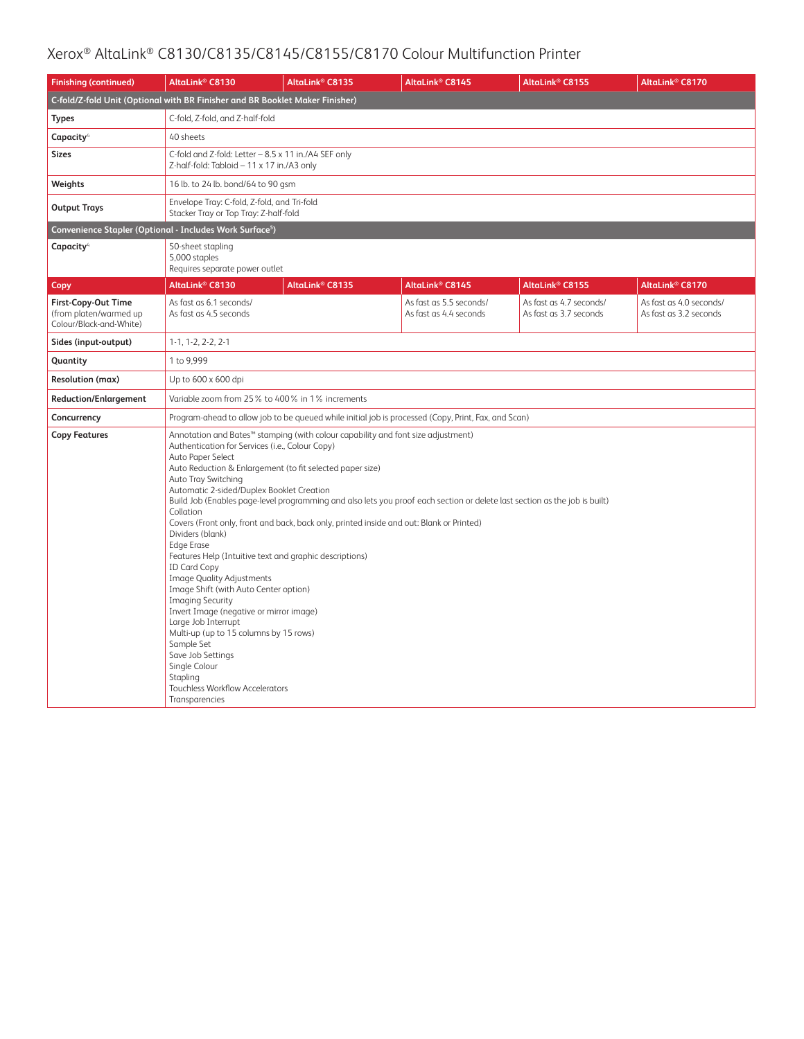| <b>Finishing (continued)</b>                                             | AltaLink <sup>®</sup> C8130                                                                                                                                                                                                                                                                                                                                                                                                                                                                                                                                                                                                                                                                                                                                                                                                                                                                                                                                                                                                                                                                           | AltaLink <sup>®</sup> C8135 | AltaLink <sup>®</sup> C8145                       | AltaLink® C8155                                   | AltaLink <sup>®</sup> C8170                       |  |
|--------------------------------------------------------------------------|-------------------------------------------------------------------------------------------------------------------------------------------------------------------------------------------------------------------------------------------------------------------------------------------------------------------------------------------------------------------------------------------------------------------------------------------------------------------------------------------------------------------------------------------------------------------------------------------------------------------------------------------------------------------------------------------------------------------------------------------------------------------------------------------------------------------------------------------------------------------------------------------------------------------------------------------------------------------------------------------------------------------------------------------------------------------------------------------------------|-----------------------------|---------------------------------------------------|---------------------------------------------------|---------------------------------------------------|--|
|                                                                          | C-fold/Z-fold Unit (Optional with BR Finisher and BR Booklet Maker Finisher)                                                                                                                                                                                                                                                                                                                                                                                                                                                                                                                                                                                                                                                                                                                                                                                                                                                                                                                                                                                                                          |                             |                                                   |                                                   |                                                   |  |
| <b>Types</b>                                                             | C-fold, Z-fold, and Z-half-fold                                                                                                                                                                                                                                                                                                                                                                                                                                                                                                                                                                                                                                                                                                                                                                                                                                                                                                                                                                                                                                                                       |                             |                                                   |                                                   |                                                   |  |
| Capacity <sup>4</sup>                                                    | 40 sheets                                                                                                                                                                                                                                                                                                                                                                                                                                                                                                                                                                                                                                                                                                                                                                                                                                                                                                                                                                                                                                                                                             |                             |                                                   |                                                   |                                                   |  |
| <b>Sizes</b>                                                             | C-fold and Z-fold: Letter - 8.5 x 11 in./A4 SEF only<br>Z-half-fold: Tabloid - 11 x 17 in./A3 only                                                                                                                                                                                                                                                                                                                                                                                                                                                                                                                                                                                                                                                                                                                                                                                                                                                                                                                                                                                                    |                             |                                                   |                                                   |                                                   |  |
| Weights                                                                  | 16 lb. to 24 lb. bond/64 to 90 gsm                                                                                                                                                                                                                                                                                                                                                                                                                                                                                                                                                                                                                                                                                                                                                                                                                                                                                                                                                                                                                                                                    |                             |                                                   |                                                   |                                                   |  |
| <b>Output Trays</b>                                                      | Envelope Tray: C-fold, Z-fold, and Tri-fold<br>Stacker Tray or Top Tray: Z-half-fold                                                                                                                                                                                                                                                                                                                                                                                                                                                                                                                                                                                                                                                                                                                                                                                                                                                                                                                                                                                                                  |                             |                                                   |                                                   |                                                   |  |
| Convenience Stapler (Optional - Includes Work Surface <sup>5</sup> )     |                                                                                                                                                                                                                                                                                                                                                                                                                                                                                                                                                                                                                                                                                                                                                                                                                                                                                                                                                                                                                                                                                                       |                             |                                                   |                                                   |                                                   |  |
| Capacity <sup>4</sup>                                                    | 50-sheet stapling<br>5,000 staples<br>Requires separate power outlet                                                                                                                                                                                                                                                                                                                                                                                                                                                                                                                                                                                                                                                                                                                                                                                                                                                                                                                                                                                                                                  |                             |                                                   |                                                   |                                                   |  |
| Copy                                                                     | AltaLink <sup>®</sup> C8130                                                                                                                                                                                                                                                                                                                                                                                                                                                                                                                                                                                                                                                                                                                                                                                                                                                                                                                                                                                                                                                                           | AltaLink <sup>®</sup> C8135 | AltaLink <sup>®</sup> C8145                       | AltaLink® C8155                                   | AltaLink <sup>®</sup> C8170                       |  |
| First-Copy-Out Time<br>(from platen/warmed up<br>Colour/Black-and-White) | As fast as 6.1 seconds/<br>As fast as 4.5 seconds                                                                                                                                                                                                                                                                                                                                                                                                                                                                                                                                                                                                                                                                                                                                                                                                                                                                                                                                                                                                                                                     |                             | As fast as 5.5 seconds/<br>As fast as 4.4 seconds | As fast as 4.7 seconds/<br>As fast as 3.7 seconds | As fast as 4.0 seconds/<br>As fast as 3.2 seconds |  |
| Sides (input-output)                                                     | $1-1, 1-2, 2-2, 2-1$                                                                                                                                                                                                                                                                                                                                                                                                                                                                                                                                                                                                                                                                                                                                                                                                                                                                                                                                                                                                                                                                                  |                             |                                                   |                                                   |                                                   |  |
| Quantity                                                                 | 1 to 9,999                                                                                                                                                                                                                                                                                                                                                                                                                                                                                                                                                                                                                                                                                                                                                                                                                                                                                                                                                                                                                                                                                            |                             |                                                   |                                                   |                                                   |  |
| <b>Resolution (max)</b>                                                  | Up to 600 x 600 dpi                                                                                                                                                                                                                                                                                                                                                                                                                                                                                                                                                                                                                                                                                                                                                                                                                                                                                                                                                                                                                                                                                   |                             |                                                   |                                                   |                                                   |  |
| <b>Reduction/Enlargement</b>                                             | Variable zoom from 25% to 400% in 1% increments                                                                                                                                                                                                                                                                                                                                                                                                                                                                                                                                                                                                                                                                                                                                                                                                                                                                                                                                                                                                                                                       |                             |                                                   |                                                   |                                                   |  |
| Concurrency                                                              |                                                                                                                                                                                                                                                                                                                                                                                                                                                                                                                                                                                                                                                                                                                                                                                                                                                                                                                                                                                                                                                                                                       |                             |                                                   |                                                   |                                                   |  |
| <b>Copy Features</b>                                                     | Program-ahead to allow job to be queued while initial job is processed (Copy, Print, Fax, and Scan)<br>Annotation and Bates <sup>™</sup> stamping (with colour capability and font size adjustment)<br>Authentication for Services (i.e., Colour Copy)<br>Auto Paper Select<br>Auto Reduction & Enlargement (to fit selected paper size)<br>Auto Tray Switching<br>Automatic 2-sided/Duplex Booklet Creation<br>Build Job (Enables page-level programming and also lets you proof each section or delete last section as the job is built)<br>Collation<br>Covers (Front only, front and back, back only, printed inside and out: Blank or Printed)<br>Dividers (blank)<br><b>Edge Erase</b><br>Features Help (Intuitive text and graphic descriptions)<br><b>ID Card Copy</b><br><b>Image Quality Adjustments</b><br>Image Shift (with Auto Center option)<br><b>Imaging Security</b><br>Invert Image (negative or mirror image)<br>Large Job Interrupt<br>Multi-up (up to 15 columns by 15 rows)<br>Sample Set<br>Save Job Settings<br>Single Colour<br>Stapling<br>Touchless Workflow Accelerators |                             |                                                   |                                                   |                                                   |  |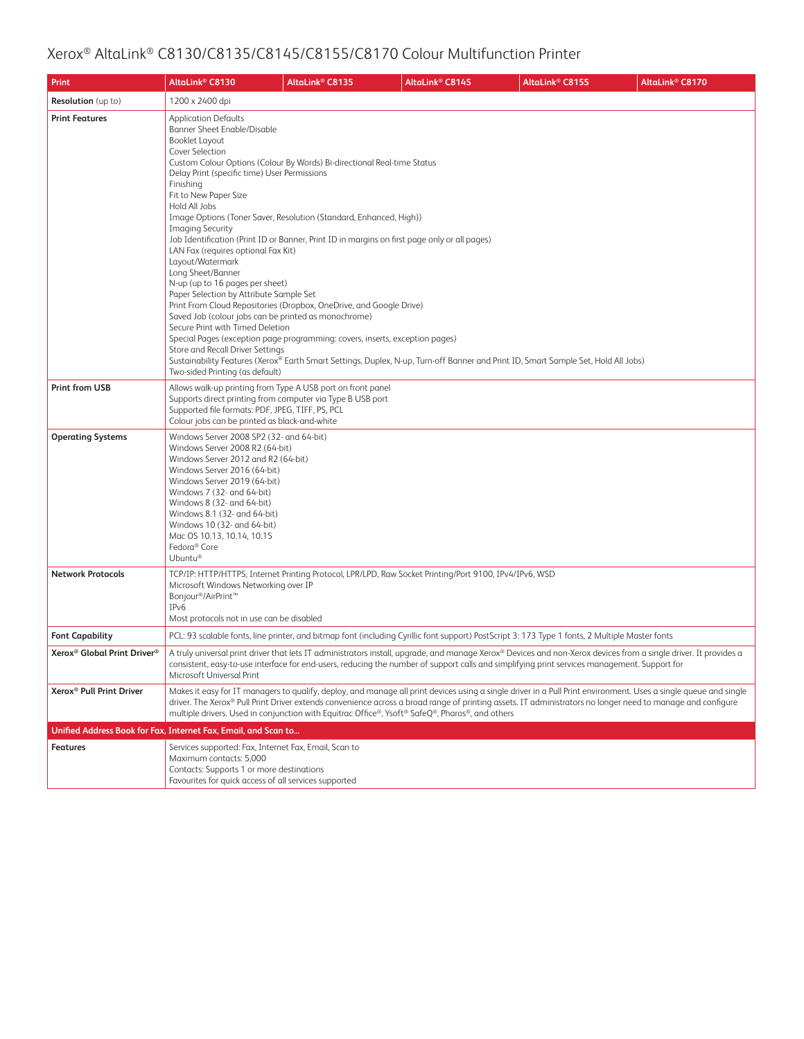| Print                                               | AltaLink <sup>®</sup> C8130                                                                                                                                                                                                                                                                                                                                                                                                                                                                                                                                                                                                                                                                                                                                                                                                                                                                                                                                                              | AltaLink® C8135 | AltaLink <sup>®</sup> C8145                                                                                                                                                                                                                                   | AltaLink <sup>®</sup> C8155 | AltaLink® C8170                                                                                                                                                  |
|-----------------------------------------------------|------------------------------------------------------------------------------------------------------------------------------------------------------------------------------------------------------------------------------------------------------------------------------------------------------------------------------------------------------------------------------------------------------------------------------------------------------------------------------------------------------------------------------------------------------------------------------------------------------------------------------------------------------------------------------------------------------------------------------------------------------------------------------------------------------------------------------------------------------------------------------------------------------------------------------------------------------------------------------------------|-----------------|---------------------------------------------------------------------------------------------------------------------------------------------------------------------------------------------------------------------------------------------------------------|-----------------------------|------------------------------------------------------------------------------------------------------------------------------------------------------------------|
| <b>Resolution</b> (up to)                           | 1200 x 2400 dpi                                                                                                                                                                                                                                                                                                                                                                                                                                                                                                                                                                                                                                                                                                                                                                                                                                                                                                                                                                          |                 |                                                                                                                                                                                                                                                               |                             |                                                                                                                                                                  |
| <b>Print Features</b>                               | <b>Application Defaults</b><br><b>Banner Sheet Enable/Disable</b><br><b>Booklet Layout</b><br>Cover Selection<br>Custom Colour Options (Colour By Words) Bi-directional Real-time Status<br>Delay Print (specific time) User Permissions<br>Finishing<br>Fit to New Paper Size<br>Hold All Jobs<br>Image Options (Toner Saver, Resolution (Standard, Enhanced, High))<br><b>Imaging Security</b><br>Job Identification (Print ID or Banner, Print ID in margins on first page only or all pages)<br>LAN Fax (requires optional Fax Kit)<br>Layout/Watermark<br>Long Sheet/Banner<br>N-up (up to 16 pages per sheet)<br>Paper Selection by Attribute Sample Set<br>Print From Cloud Repositories (Dropbox, OneDrive, and Google Drive)<br>Saved Job (colour jobs can be printed as monochrome)<br>Secure Print with Timed Deletion<br>Special Pages (exception page programming: covers, inserts, exception pages)<br>Store and Recall Driver Settings<br>Two-sided Printing (as default) |                 | Sustainability Features (Xerox® Earth Smart Settings, Duplex, N-up, Turn-off Banner and Print ID, Smart Sample Set, Hold All Jobs)                                                                                                                            |                             |                                                                                                                                                                  |
| <b>Print from USB</b>                               | Allows walk-up printing from Type A USB port on front panel<br>Supports direct printing from computer via Type B USB port<br>Supported file formats: PDF, JPEG, TIFF, PS, PCL<br>Colour jobs can be printed as black-and-white                                                                                                                                                                                                                                                                                                                                                                                                                                                                                                                                                                                                                                                                                                                                                           |                 |                                                                                                                                                                                                                                                               |                             |                                                                                                                                                                  |
| <b>Operating Systems</b>                            | Windows Server 2008 SP2 (32- and 64-bit)<br>Windows Server 2008 R2 (64-bit)<br>Windows Server 2012 and R2 (64-bit)<br>Windows Server 2016 (64-bit)<br>Windows Server 2019 (64-bit)<br>Windows 7 (32- and 64-bit)<br>Windows 8 (32- and 64-bit)<br>Windows 8.1 (32- and 64-bit)<br>Windows 10 (32- and 64-bit)<br>Mac OS 10.13, 10.14, 10.15<br>Fedora <sup>®</sup> Core<br>Ubuntu®                                                                                                                                                                                                                                                                                                                                                                                                                                                                                                                                                                                                       |                 |                                                                                                                                                                                                                                                               |                             |                                                                                                                                                                  |
| <b>Network Protocols</b>                            | Microsoft Windows Networking over IP<br>Bonjour®/AirPrint <sup>™</sup><br>IP <sub>v</sub> 6<br>Most protocols not in use can be disabled                                                                                                                                                                                                                                                                                                                                                                                                                                                                                                                                                                                                                                                                                                                                                                                                                                                 |                 | TCP/IP: HTTP/HTTPS, Internet Printing Protocol, LPR/LPD, Raw Socket Printing/Port 9100, IPv4/IPv6, WSD                                                                                                                                                        |                             |                                                                                                                                                                  |
| <b>Font Capability</b>                              |                                                                                                                                                                                                                                                                                                                                                                                                                                                                                                                                                                                                                                                                                                                                                                                                                                                                                                                                                                                          |                 | PCL: 93 scalable fonts, line printer, and bitmap font (including Cyrillic font support) PostScript 3: 173 Type 1 fonts, 2 Multiple Master fonts                                                                                                               |                             |                                                                                                                                                                  |
| Xerox <sup>®</sup> Global Print Driver <sup>®</sup> | Microsoft Universal Print                                                                                                                                                                                                                                                                                                                                                                                                                                                                                                                                                                                                                                                                                                                                                                                                                                                                                                                                                                |                 | consistent, easy-to-use interface for end-users, reducing the number of support calls and simplifying print services management. Support for                                                                                                                  |                             | A truly universal print driver that lets IT administrators install, upgrade, and manage Xerox® Devices and non-Xerox devices from a single driver. It provides a |
| Xerox <sup>®</sup> Pull Print Driver                |                                                                                                                                                                                                                                                                                                                                                                                                                                                                                                                                                                                                                                                                                                                                                                                                                                                                                                                                                                                          |                 | driver. The Xerox® Pull Print Driver extends convenience across a broad range of printing assets. IT administrators no longer need to manage and configure<br>multiple drivers. Used in conjunction with Equitrac Office®, Ysoft® SafeQ®, Pharos®, and others |                             | Makes it easy for IT managers to qualify, deploy, and manage all print devices using a single driver in a Pull Print environment. Uses a single queue and single |
|                                                     | Unified Address Book for Fax, Internet Fax, Email, and Scan to                                                                                                                                                                                                                                                                                                                                                                                                                                                                                                                                                                                                                                                                                                                                                                                                                                                                                                                           |                 |                                                                                                                                                                                                                                                               |                             |                                                                                                                                                                  |
| <b>Features</b>                                     | Services supported: Fax, Internet Fax, Email, Scan to<br>Maximum contacts: 5.000<br>Contacts: Supports 1 or more destinations<br>Favourites for quick access of all services supported                                                                                                                                                                                                                                                                                                                                                                                                                                                                                                                                                                                                                                                                                                                                                                                                   |                 |                                                                                                                                                                                                                                                               |                             |                                                                                                                                                                  |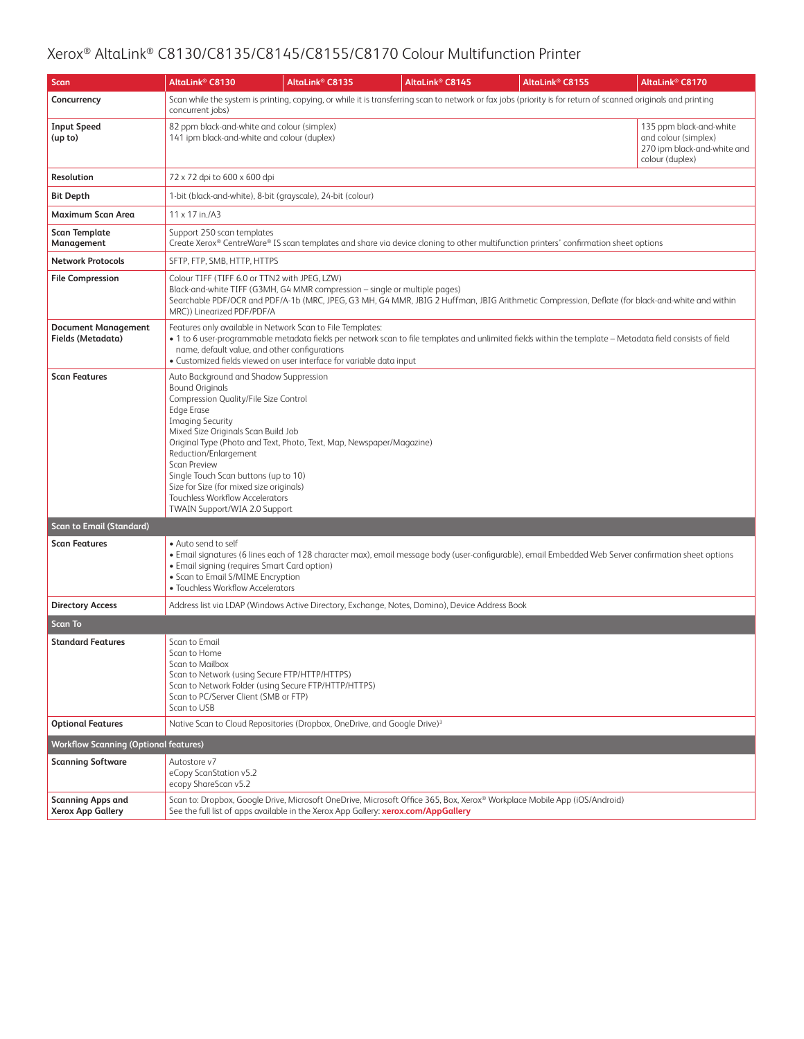| <b>Scan</b>                                          | AltaLink® C8130                                                                                                                                                                                                                                                                                                                                                                                                 | AltaLink <sup>®</sup> C8135                                                                                                                                                                                                                                                                                  | AltaLink <sup>®</sup> C8145                                                                    | AltaLink® C8155                                                                                                                                               | AltaLink® C8170                                                                                   |  |  |  |
|------------------------------------------------------|-----------------------------------------------------------------------------------------------------------------------------------------------------------------------------------------------------------------------------------------------------------------------------------------------------------------------------------------------------------------------------------------------------------------|--------------------------------------------------------------------------------------------------------------------------------------------------------------------------------------------------------------------------------------------------------------------------------------------------------------|------------------------------------------------------------------------------------------------|---------------------------------------------------------------------------------------------------------------------------------------------------------------|---------------------------------------------------------------------------------------------------|--|--|--|
| Concurrency                                          | concurrent jobs)                                                                                                                                                                                                                                                                                                                                                                                                |                                                                                                                                                                                                                                                                                                              |                                                                                                | Scan while the system is printing, copying, or while it is transferring scan to network or fax jobs (priority is for return of scanned originals and printing |                                                                                                   |  |  |  |
| <b>Input Speed</b><br>(up to)                        | 82 ppm black-and-white and colour (simplex)<br>141 ipm black-and-white and colour (duplex)                                                                                                                                                                                                                                                                                                                      |                                                                                                                                                                                                                                                                                                              |                                                                                                |                                                                                                                                                               | 135 ppm black-and-white<br>and colour (simplex)<br>270 ipm black-and-white and<br>colour (duplex) |  |  |  |
| Resolution                                           | 72 x 72 dpi to 600 x 600 dpi                                                                                                                                                                                                                                                                                                                                                                                    |                                                                                                                                                                                                                                                                                                              |                                                                                                |                                                                                                                                                               |                                                                                                   |  |  |  |
| <b>Bit Depth</b>                                     |                                                                                                                                                                                                                                                                                                                                                                                                                 | 1-bit (black-and-white), 8-bit (grayscale), 24-bit (colour)                                                                                                                                                                                                                                                  |                                                                                                |                                                                                                                                                               |                                                                                                   |  |  |  |
| <b>Maximum Scan Area</b>                             | 11 x 17 in./A3                                                                                                                                                                                                                                                                                                                                                                                                  |                                                                                                                                                                                                                                                                                                              |                                                                                                |                                                                                                                                                               |                                                                                                   |  |  |  |
| <b>Scan Template</b><br>Management                   | Support 250 scan templates                                                                                                                                                                                                                                                                                                                                                                                      |                                                                                                                                                                                                                                                                                                              |                                                                                                | Create Xerox® CentreWare® IS scan templates and share via device cloning to other multifunction printers' confirmation sheet options                          |                                                                                                   |  |  |  |
| <b>Network Protocols</b>                             | SFTP, FTP, SMB, HTTP, HTTPS                                                                                                                                                                                                                                                                                                                                                                                     |                                                                                                                                                                                                                                                                                                              |                                                                                                |                                                                                                                                                               |                                                                                                   |  |  |  |
| <b>File Compression</b>                              |                                                                                                                                                                                                                                                                                                                                                                                                                 | Colour TIFF (TIFF 6.0 or TTN2 with JPEG, LZW)<br>Black-and-white TIFF (G3MH, G4 MMR compression - single or multiple pages)<br>Searchable PDF/OCR and PDF/A-1b (MRC, JPEG, G3 MH, G4 MMR, JBIG 2 Huffman, JBIG Arithmetic Compression, Deflate (for black-and-white and within<br>MRC)) Linearized PDF/PDF/A |                                                                                                |                                                                                                                                                               |                                                                                                   |  |  |  |
| <b>Document Management</b><br>Fields (Metadata)      | name, default value, and other configurations                                                                                                                                                                                                                                                                                                                                                                   | Features only available in Network Scan to File Templates:<br>· Customized fields viewed on user interface for variable data input                                                                                                                                                                           |                                                                                                | • 1 to 6 user-programmable metadata fields per network scan to file templates and unlimited fields within the template – Metadata field consists of field     |                                                                                                   |  |  |  |
| <b>Scan Features</b>                                 | Auto Background and Shadow Suppression<br><b>Bound Originals</b><br>Compression Quality/File Size Control<br><b>Edge Erase</b><br><b>Imaging Security</b><br>Mixed Size Originals Scan Build Job<br>Reduction/Enlargement<br><b>Scan Preview</b><br>Single Touch Scan buttons (up to 10)<br>Size for Size (for mixed size originals)<br><b>Touchless Workflow Accelerators</b><br>TWAIN Support/WIA 2.0 Support | Original Type (Photo and Text, Photo, Text, Map, Newspaper/Magazine)                                                                                                                                                                                                                                         |                                                                                                |                                                                                                                                                               |                                                                                                   |  |  |  |
| <b>Scan to Email (Standard)</b>                      |                                                                                                                                                                                                                                                                                                                                                                                                                 |                                                                                                                                                                                                                                                                                                              |                                                                                                |                                                                                                                                                               |                                                                                                   |  |  |  |
| <b>Scan Features</b>                                 | • Auto send to self<br>• Email signing (requires Smart Card option)<br>• Scan to Email S/MIME Encryption<br>· Touchless Workflow Accelerators                                                                                                                                                                                                                                                                   |                                                                                                                                                                                                                                                                                                              |                                                                                                | · Email signatures (6 lines each of 128 character max), email message body (user-configurable), email Embedded Web Server confirmation sheet options          |                                                                                                   |  |  |  |
| <b>Directory Access</b>                              |                                                                                                                                                                                                                                                                                                                                                                                                                 |                                                                                                                                                                                                                                                                                                              | Address list via LDAP (Windows Active Directory, Exchange, Notes, Domino), Device Address Book |                                                                                                                                                               |                                                                                                   |  |  |  |
| <b>Scan To</b>                                       |                                                                                                                                                                                                                                                                                                                                                                                                                 |                                                                                                                                                                                                                                                                                                              |                                                                                                |                                                                                                                                                               |                                                                                                   |  |  |  |
| <b>Standard Features</b>                             | Scan to Email<br>Scan to Home<br>Scan to Mailbox<br>Scan to Network (using Secure FTP/HTTP/HTTPS)<br>Scan to PC/Server Client (SMB or FTP)<br>Scan to USB                                                                                                                                                                                                                                                       | Scan to Network Folder (using Secure FTP/HTTP/HTTPS)                                                                                                                                                                                                                                                         |                                                                                                |                                                                                                                                                               |                                                                                                   |  |  |  |
| <b>Optional Features</b>                             |                                                                                                                                                                                                                                                                                                                                                                                                                 | Native Scan to Cloud Repositories (Dropbox, OneDrive, and Google Drive) <sup>3</sup>                                                                                                                                                                                                                         |                                                                                                |                                                                                                                                                               |                                                                                                   |  |  |  |
| <b>Workflow Scanning (Optional features)</b>         |                                                                                                                                                                                                                                                                                                                                                                                                                 |                                                                                                                                                                                                                                                                                                              |                                                                                                |                                                                                                                                                               |                                                                                                   |  |  |  |
| <b>Scanning Software</b>                             | Autostore v7<br>eCopy ScanStation v5.2<br>ecopy ShareScan v5.2                                                                                                                                                                                                                                                                                                                                                  |                                                                                                                                                                                                                                                                                                              |                                                                                                |                                                                                                                                                               |                                                                                                   |  |  |  |
| <b>Scanning Apps and</b><br><b>Xerox App Gallery</b> |                                                                                                                                                                                                                                                                                                                                                                                                                 | See the full list of apps available in the Xerox App Gallery: xerox.com/AppGallery                                                                                                                                                                                                                           |                                                                                                | Scan to: Dropbox, Google Drive, Microsoft OneDrive, Microsoft Office 365, Box, Xerox® Workplace Mobile App (iOS/Android)                                      |                                                                                                   |  |  |  |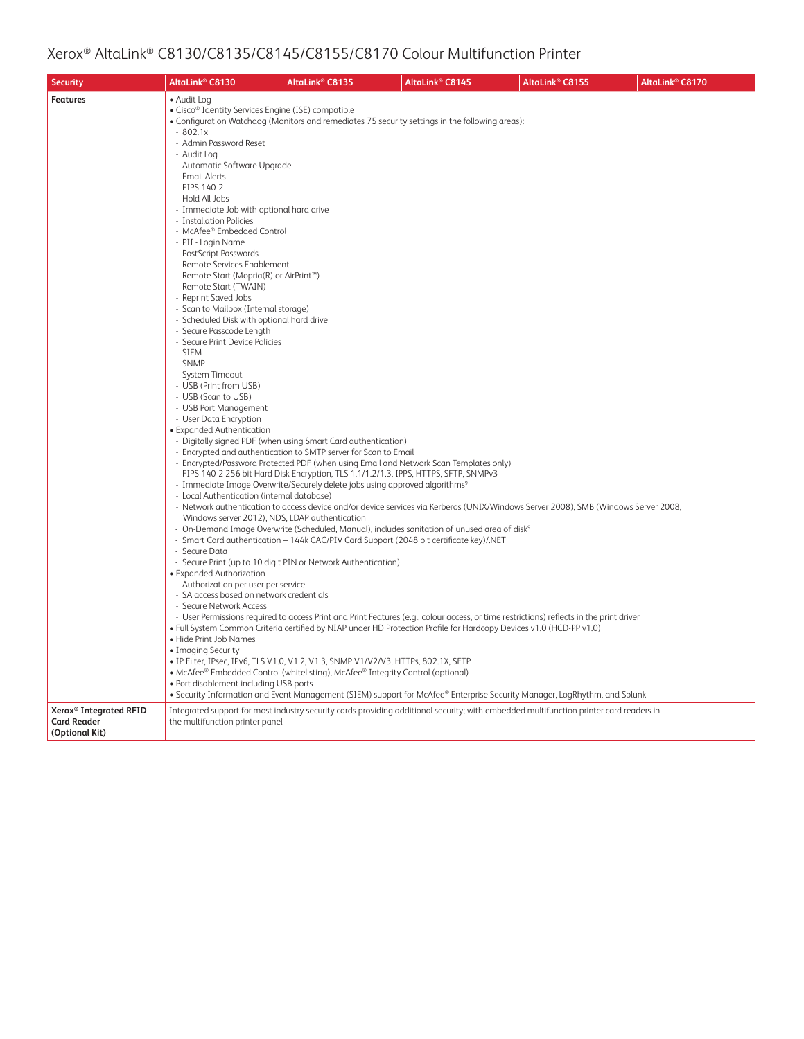| <b>Security</b>                      | AltaLink <sup>®</sup> C8130                                                                                                                                                                                                                                                                                                                                                                                                                                                                                                                                                                                                                                                                                                                                                                                                                                                                                                                                                                                                                                                                                                                        | AltaLink <sup>®</sup> C8135                                                                                                                                                                                                                                                                                                                                                                                                                                                                                                                                                                                                                                                                                                                        | AltaLink <sup>®</sup> C8145                                                                                                                                                                                                                                                                                                                                                                                                                                                                                                                                                                                          | AltaLink <sup>®</sup> C8155 | AltaLink <sup>®</sup> C8170 |
|--------------------------------------|----------------------------------------------------------------------------------------------------------------------------------------------------------------------------------------------------------------------------------------------------------------------------------------------------------------------------------------------------------------------------------------------------------------------------------------------------------------------------------------------------------------------------------------------------------------------------------------------------------------------------------------------------------------------------------------------------------------------------------------------------------------------------------------------------------------------------------------------------------------------------------------------------------------------------------------------------------------------------------------------------------------------------------------------------------------------------------------------------------------------------------------------------|----------------------------------------------------------------------------------------------------------------------------------------------------------------------------------------------------------------------------------------------------------------------------------------------------------------------------------------------------------------------------------------------------------------------------------------------------------------------------------------------------------------------------------------------------------------------------------------------------------------------------------------------------------------------------------------------------------------------------------------------------|----------------------------------------------------------------------------------------------------------------------------------------------------------------------------------------------------------------------------------------------------------------------------------------------------------------------------------------------------------------------------------------------------------------------------------------------------------------------------------------------------------------------------------------------------------------------------------------------------------------------|-----------------------------|-----------------------------|
| <b>Features</b>                      | • Audit Log<br>• Cisco <sup>®</sup> Identity Services Engine (ISE) compatible<br>$-802.1x$<br>- Admin Password Reset<br>- Audit Log<br>- Automatic Software Upgrade<br>- Email Alerts<br>- FIPS 140-2<br>- Hold All Jobs<br>- Immediate Job with optional hard drive<br>- Installation Policies<br>- McAfee® Embedded Control<br>- PII - Login Name<br>- PostScript Passwords<br>- Remote Services Enablement<br>- Remote Start (Mopria(R) or AirPrint™)<br>- Remote Start (TWAIN)<br>- Reprint Saved Jobs<br>- Scan to Mailbox (Internal storage)<br>- Scheduled Disk with optional hard drive<br>- Secure Passcode Length<br>- Secure Print Device Policies<br>- SIEM<br>- SNMP<br>- System Timeout<br>- USB (Print from USB)<br>- USB (Scan to USB)<br>- USB Port Management<br>- User Data Encryption<br>• Expanded Authentication<br>- Local Authentication (internal database)<br>Windows server 2012), NDS, LDAP authentication<br>- Secure Data<br>• Expanded Authorization<br>- Authorization per user per service<br>- SA access based on network credentials<br>- Secure Network Access<br>• Hide Print Job Names<br>• Imaging Security | - Digitally signed PDF (when using Smart Card authentication)<br>- Encrypted and authentication to SMTP server for Scan to Email<br>- Encrypted/Password Protected PDF (when using Email and Network Scan Templates only)<br>- FIPS 140-2 256 bit Hard Disk Encryption, TLS 1.1/1.2/1.3, IPPS, HTTPS, SFTP, SNMPv3<br>- Immediate Image Overwrite/Securely delete jobs using approved algorithms <sup>9</sup><br>- Smart Card authentication - 144k CAC/PIV Card Support (2048 bit certificate key)/.NET<br>- Secure Print (up to 10 digit PIN or Network Authentication)<br>· IP Filter, IPsec, IPv6, TLS V1.0, V1.2, V1.3, SNMP V1/V2/V3, HTTPs, 802.1X, SFTP<br>• McAfee® Embedded Control (whitelisting), McAfee® Integrity Control (optional) | • Configuration Watchdog (Monitors and remediates 75 security settings in the following areas):<br>- Network authentication to access device and/or device services via Kerberos (UNIX/Windows Server 2008), SMB (Windows Server 2008,<br>- On-Demand Image Overwrite (Scheduled, Manual), includes sanitation of unused area of disk <sup>9</sup><br>- User Permissions required to access Print and Print Features (e.g., colour access, or time restrictions) reflects in the print driver<br>· Full System Common Criteria certified by NIAP under HD Protection Profile for Hardcopy Devices v1.0 (HCD-PP v1.0) |                             |                             |
| Xerox <sup>®</sup> Integrated RFID   | • Port disablement including USB ports                                                                                                                                                                                                                                                                                                                                                                                                                                                                                                                                                                                                                                                                                                                                                                                                                                                                                                                                                                                                                                                                                                             |                                                                                                                                                                                                                                                                                                                                                                                                                                                                                                                                                                                                                                                                                                                                                    | • Security Information and Event Management (SIEM) support for McAfee® Enterprise Security Manager, LogRhythm, and Splunk<br>Integrated support for most industry security cards providing additional security; with embedded multifunction printer card readers in                                                                                                                                                                                                                                                                                                                                                  |                             |                             |
| <b>Card Reader</b><br>(Optional Kit) | the multifunction printer panel                                                                                                                                                                                                                                                                                                                                                                                                                                                                                                                                                                                                                                                                                                                                                                                                                                                                                                                                                                                                                                                                                                                    |                                                                                                                                                                                                                                                                                                                                                                                                                                                                                                                                                                                                                                                                                                                                                    |                                                                                                                                                                                                                                                                                                                                                                                                                                                                                                                                                                                                                      |                             |                             |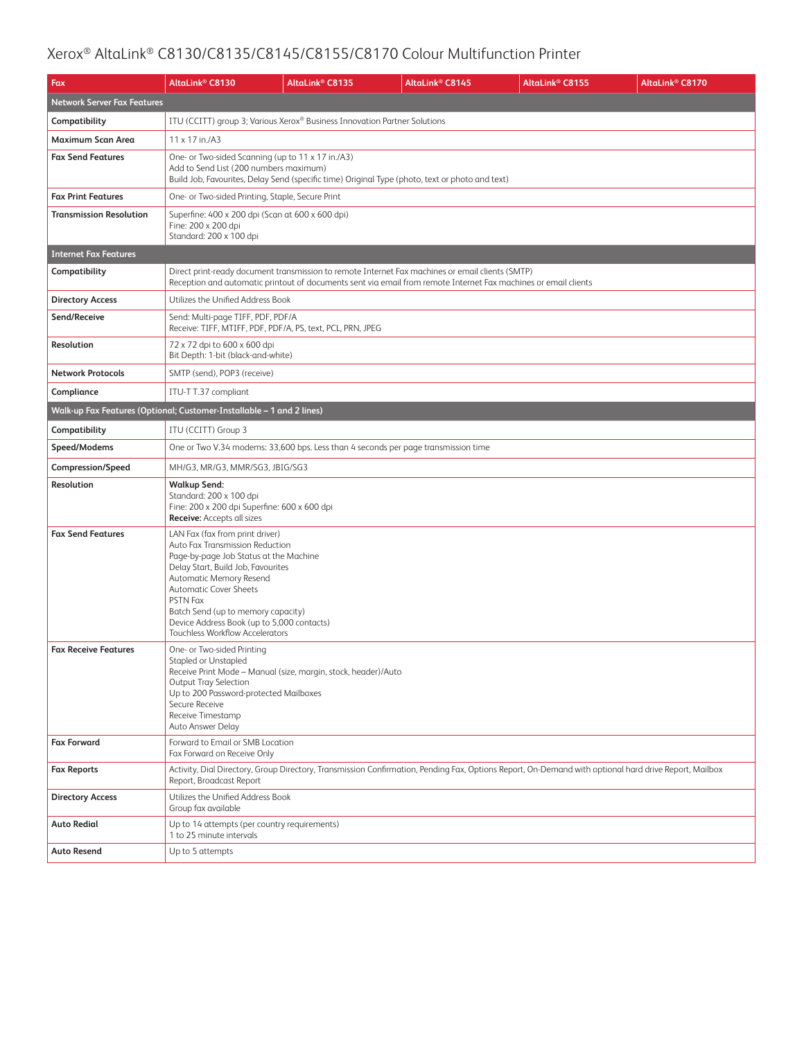| Fax                                | AltaLink <sup>®</sup> C8130                                                                                                                                                                                                                                                                                                                                     | AltaLink <sup>®</sup> C8135                                                                                                                                                                                         | AltaLink <sup>®</sup> C8145 | AltaLink® C8155                                                                                                                                       | AltaLink <sup>®</sup> C8170 |  |  |
|------------------------------------|-----------------------------------------------------------------------------------------------------------------------------------------------------------------------------------------------------------------------------------------------------------------------------------------------------------------------------------------------------------------|---------------------------------------------------------------------------------------------------------------------------------------------------------------------------------------------------------------------|-----------------------------|-------------------------------------------------------------------------------------------------------------------------------------------------------|-----------------------------|--|--|
| <b>Network Server Fax Features</b> |                                                                                                                                                                                                                                                                                                                                                                 |                                                                                                                                                                                                                     |                             |                                                                                                                                                       |                             |  |  |
| Compatibility                      |                                                                                                                                                                                                                                                                                                                                                                 | ITU (CCITT) group 3; Various Xerox® Business Innovation Partner Solutions                                                                                                                                           |                             |                                                                                                                                                       |                             |  |  |
| Maximum Scan Area                  | 11 x 17 in./A3                                                                                                                                                                                                                                                                                                                                                  |                                                                                                                                                                                                                     |                             |                                                                                                                                                       |                             |  |  |
| <b>Fax Send Features</b>           | One- or Two-sided Scanning (up to 11 x 17 in./A3)<br>Add to Send List (200 numbers maximum)                                                                                                                                                                                                                                                                     | Build Job, Favourites, Delay Send (specific time) Original Type (photo, text or photo and text)                                                                                                                     |                             |                                                                                                                                                       |                             |  |  |
| <b>Fax Print Features</b>          | One- or Two-sided Printing, Staple, Secure Print                                                                                                                                                                                                                                                                                                                |                                                                                                                                                                                                                     |                             |                                                                                                                                                       |                             |  |  |
| <b>Transmission Resolution</b>     | Superfine: 400 x 200 dpi (Scan at 600 x 600 dpi)<br>Fine: 200 x 200 dpi<br>Standard: 200 x 100 dpi                                                                                                                                                                                                                                                              |                                                                                                                                                                                                                     |                             |                                                                                                                                                       |                             |  |  |
| <b>Internet Fax Features</b>       |                                                                                                                                                                                                                                                                                                                                                                 |                                                                                                                                                                                                                     |                             |                                                                                                                                                       |                             |  |  |
| Compatibility                      |                                                                                                                                                                                                                                                                                                                                                                 | Direct print-ready document transmission to remote Internet Fax machines or email clients (SMTP)<br>Reception and automatic printout of documents sent via email from remote Internet Fax machines or email clients |                             |                                                                                                                                                       |                             |  |  |
| <b>Directory Access</b>            | Utilizes the Unified Address Book                                                                                                                                                                                                                                                                                                                               |                                                                                                                                                                                                                     |                             |                                                                                                                                                       |                             |  |  |
| Send/Receive                       | Send: Multi-page TIFF, PDF, PDF/A<br>Receive: TIFF, MTIFF, PDF, PDF/A, PS, text, PCL, PRN, JPEG                                                                                                                                                                                                                                                                 |                                                                                                                                                                                                                     |                             |                                                                                                                                                       |                             |  |  |
| Resolution                         | 72 x 72 dpi to 600 x 600 dpi<br>Bit Depth: 1-bit (black-and-white)                                                                                                                                                                                                                                                                                              |                                                                                                                                                                                                                     |                             |                                                                                                                                                       |                             |  |  |
| <b>Network Protocols</b>           | SMTP (send), POP3 (receive)                                                                                                                                                                                                                                                                                                                                     |                                                                                                                                                                                                                     |                             |                                                                                                                                                       |                             |  |  |
| Compliance                         | ITU-T T.37 compliant                                                                                                                                                                                                                                                                                                                                            |                                                                                                                                                                                                                     |                             |                                                                                                                                                       |                             |  |  |
|                                    | Walk-up Fax Features (Optional; Customer-Installable - 1 and 2 lines)                                                                                                                                                                                                                                                                                           |                                                                                                                                                                                                                     |                             |                                                                                                                                                       |                             |  |  |
| Compatibility                      | ITU (CCITT) Group 3                                                                                                                                                                                                                                                                                                                                             |                                                                                                                                                                                                                     |                             |                                                                                                                                                       |                             |  |  |
| Speed/Modems                       |                                                                                                                                                                                                                                                                                                                                                                 | One or Two V.34 modems: 33,600 bps. Less than 4 seconds per page transmission time                                                                                                                                  |                             |                                                                                                                                                       |                             |  |  |
| Compression/Speed                  | MH/G3, MR/G3, MMR/SG3, JBIG/SG3                                                                                                                                                                                                                                                                                                                                 |                                                                                                                                                                                                                     |                             |                                                                                                                                                       |                             |  |  |
| Resolution                         | <b>Walkup Send:</b><br>Standard: 200 x 100 dpi<br>Fine: 200 x 200 dpi Superfine: 600 x 600 dpi<br><b>Receive:</b> Accepts all sizes                                                                                                                                                                                                                             |                                                                                                                                                                                                                     |                             |                                                                                                                                                       |                             |  |  |
| <b>Fax Send Features</b>           | LAN Fax (fax from print driver)<br>Auto Fax Transmission Reduction<br>Page-by-page Job Status at the Machine<br>Delay Start, Build Job, Favourites<br>Automatic Memory Resend<br><b>Automatic Cover Sheets</b><br><b>PSTN Fax</b><br>Batch Send (up to memory capacity)<br>Device Address Book (up to 5,000 contacts)<br><b>Touchless Workflow Accelerators</b> |                                                                                                                                                                                                                     |                             |                                                                                                                                                       |                             |  |  |
| <b>Fax Receive Features</b>        | One- or Two-sided Printing<br>Stapled or Unstapled<br>Receive Print Mode - Manual (size, margin, stock, header)/Auto<br>Output Tray Selection<br>Up to 200 Password-protected Mailboxes<br>Secure Receive<br>Receive Timestamp<br>Auto Answer Delay                                                                                                             |                                                                                                                                                                                                                     |                             |                                                                                                                                                       |                             |  |  |
| <b>Fax Forward</b>                 | Forward to Email or SMB Location<br>Fax Forward on Receive Only                                                                                                                                                                                                                                                                                                 |                                                                                                                                                                                                                     |                             |                                                                                                                                                       |                             |  |  |
| <b>Fax Reports</b>                 | Report, Broadcast Report                                                                                                                                                                                                                                                                                                                                        |                                                                                                                                                                                                                     |                             | Activity, Dial Directory, Group Directory, Transmission Confirmation, Pending Fax, Options Report, On-Demand with optional hard drive Report, Mailbox |                             |  |  |
| <b>Directory Access</b>            | Utilizes the Unified Address Book<br>Group fax available                                                                                                                                                                                                                                                                                                        |                                                                                                                                                                                                                     |                             |                                                                                                                                                       |                             |  |  |
| <b>Auto Redial</b>                 | Up to 14 attempts (per country requirements)<br>1 to 25 minute intervals                                                                                                                                                                                                                                                                                        |                                                                                                                                                                                                                     |                             |                                                                                                                                                       |                             |  |  |
| <b>Auto Resend</b>                 | Up to 5 attempts                                                                                                                                                                                                                                                                                                                                                |                                                                                                                                                                                                                     |                             |                                                                                                                                                       |                             |  |  |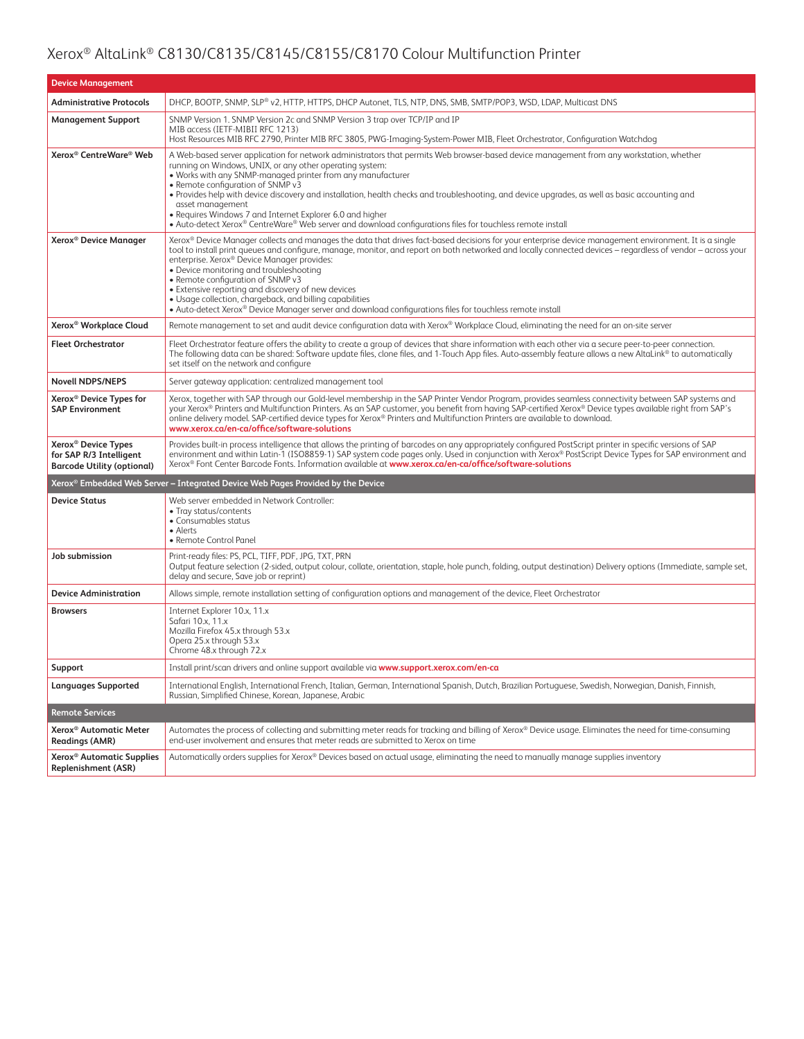| <b>Device Management</b>                                                                        |                                                                                                                                                                                                                                                                                                                                                                                                                                                                                                                                                                                                                                                                                      |  |  |
|-------------------------------------------------------------------------------------------------|--------------------------------------------------------------------------------------------------------------------------------------------------------------------------------------------------------------------------------------------------------------------------------------------------------------------------------------------------------------------------------------------------------------------------------------------------------------------------------------------------------------------------------------------------------------------------------------------------------------------------------------------------------------------------------------|--|--|
| <b>Administrative Protocols</b>                                                                 | DHCP, BOOTP, SNMP, SLP® v2, HTTP, HTTPS, DHCP Autonet, TLS, NTP, DNS, SMB, SMTP/POP3, WSD, LDAP, Multicast DNS                                                                                                                                                                                                                                                                                                                                                                                                                                                                                                                                                                       |  |  |
| <b>Management Support</b>                                                                       | SNMP Version 1. SNMP Version 2c and SNMP Version 3 trap over TCP/IP and IP<br>MIB access (IETF-MIBII RFC 1213)<br>Host Resources MIB RFC 2790, Printer MIB RFC 3805, PWG-Imaging-System-Power MIB, Fleet Orchestrator, Configuration Watchdog                                                                                                                                                                                                                                                                                                                                                                                                                                        |  |  |
| Xerox <sup>®</sup> CentreWare® Web                                                              | A Web-based server application for network administrators that permits Web browser-based device management from any workstation, whether<br>running on Windows, UNIX, or any other operating system:<br>. Works with any SNMP-managed printer from any manufacturer<br>• Remote configuration of SNMP v3<br>• Provides help with device discovery and installation, health checks and troubleshooting, and device upgrades, as well as basic accounting and<br>asset management<br>• Requires Windows 7 and Internet Explorer 6.0 and higher<br>• Auto-detect Xerox® CentreWare® Web server and download configurations files for touchless remote install                           |  |  |
| Xerox <sup>®</sup> Device Manager                                                               | Xerox® Device Manager collects and manages the data that drives fact-based decisions for your enterprise device management environment. It is a single<br>tool to install print queues and configure, manage, monitor, and report on both networked and locally connected devices - regardless of vendor - across your<br>enterprise. Xerox® Device Manager provides:<br>• Device monitoring and troubleshooting<br>• Remote configuration of SNMP v3<br>• Extensive reporting and discovery of new devices<br>• Usage collection, chargeback, and billing capabilities<br>• Auto-detect Xerox® Device Manager server and download configurations files for touchless remote install |  |  |
| Xerox <sup>®</sup> Workplace Cloud                                                              | Remote management to set and audit device configuration data with Xerox® Workplace Cloud, eliminating the need for an on-site server                                                                                                                                                                                                                                                                                                                                                                                                                                                                                                                                                 |  |  |
| <b>Fleet Orchestrator</b>                                                                       | Fleet Orchestrator feature offers the ability to create a group of devices that share information with each other via a secure peer-to-peer connection.<br>The following data can be shared: Software update files, clone files, and 1-Touch App files. Auto-assembly feature allows a new AltaLink® to automatically<br>set itself on the network and configure                                                                                                                                                                                                                                                                                                                     |  |  |
| <b>Novell NDPS/NEPS</b>                                                                         | Server gateway application: centralized management tool                                                                                                                                                                                                                                                                                                                                                                                                                                                                                                                                                                                                                              |  |  |
| Xerox <sup>®</sup> Device Types for<br><b>SAP Environment</b>                                   | Xerox, together with SAP through our Gold-level membership in the SAP Printer Vendor Program, provides seamless connectivity between SAP systems and<br>your Xerox® Printers and Multifunction Printers. As an SAP customer, you benefit from having SAP-certified Xerox® Device types available right from SAP's<br>online delivery model. SAP-certified device types for Xerox® Printers and Multifunction Printers are available to download.<br>www.xerox.ca/en-ca/office/software-solutions                                                                                                                                                                                     |  |  |
| Xerox <sup>®</sup> Device Types<br>for SAP R/3 Intelligent<br><b>Barcode Utility (optional)</b> | Provides built-in process intelligence that allows the printing of barcodes on any appropriately configured PostScript printer in specific versions of SAP<br>environment and within Latin-1 (ISO8859-1) SAP system code pages only. Used in conjunction with Xerox® PostScript Device Types for SAP environment and<br>Xerox® Font Center Barcode Fonts. Information available at www.xerox.ca/en-ca/office/software-solutions                                                                                                                                                                                                                                                      |  |  |
|                                                                                                 | Xerox® Embedded Web Server – Integrated Device Web Pages Provided by the Device                                                                                                                                                                                                                                                                                                                                                                                                                                                                                                                                                                                                      |  |  |
| <b>Device Status</b>                                                                            | Web server embedded in Network Controller:<br>• Tray status/contents<br>• Consumables status<br>• Alerts<br>• Remote Control Panel                                                                                                                                                                                                                                                                                                                                                                                                                                                                                                                                                   |  |  |
| Job submission                                                                                  | Print-ready files: PS, PCL, TIFF, PDF, JPG, TXT, PRN<br>Output feature selection (2-sided, output colour, collate, orientation, staple, hole punch, folding, output destination) Delivery options (Immediate, sample set,<br>delay and secure, Save job or reprint)                                                                                                                                                                                                                                                                                                                                                                                                                  |  |  |
| <b>Device Administration</b>                                                                    | Allows simple, remote installation setting of configuration options and management of the device, Fleet Orchestrator                                                                                                                                                                                                                                                                                                                                                                                                                                                                                                                                                                 |  |  |
| <b>Browsers</b>                                                                                 | Internet Explorer 10.x, 11.x<br>Safari 10.x, 11.x<br>Mozilla Firefox 45.x through 53.x<br>Opera 25.x through 53.x<br>Chrome 48.x through 72.x                                                                                                                                                                                                                                                                                                                                                                                                                                                                                                                                        |  |  |
| Support                                                                                         | Install print/scan drivers and online support available via www.support.xerox.com/en-ca                                                                                                                                                                                                                                                                                                                                                                                                                                                                                                                                                                                              |  |  |
| Languages Supported                                                                             | International English, International French, Italian, German, International Spanish, Dutch, Brazilian Portuguese, Swedish, Norwegian, Danish, Finnish,<br>Russian, Simplified Chinese, Korean, Japanese, Arabic                                                                                                                                                                                                                                                                                                                                                                                                                                                                      |  |  |
| <b>Remote Services</b>                                                                          |                                                                                                                                                                                                                                                                                                                                                                                                                                                                                                                                                                                                                                                                                      |  |  |
| Xerox <sup>®</sup> Automatic Meter<br><b>Readings (AMR)</b>                                     | Automates the process of collecting and submitting meter reads for tracking and billing of Xerox® Device usage. Eliminates the need for time-consuming<br>end-user involvement and ensures that meter reads are submitted to Xerox on time                                                                                                                                                                                                                                                                                                                                                                                                                                           |  |  |
| Xerox <sup>®</sup> Automatic Supplies<br><b>Replenishment (ASR)</b>                             | Automatically orders supplies for Xerox® Devices based on actual usage, eliminating the need to manually manage supplies inventory                                                                                                                                                                                                                                                                                                                                                                                                                                                                                                                                                   |  |  |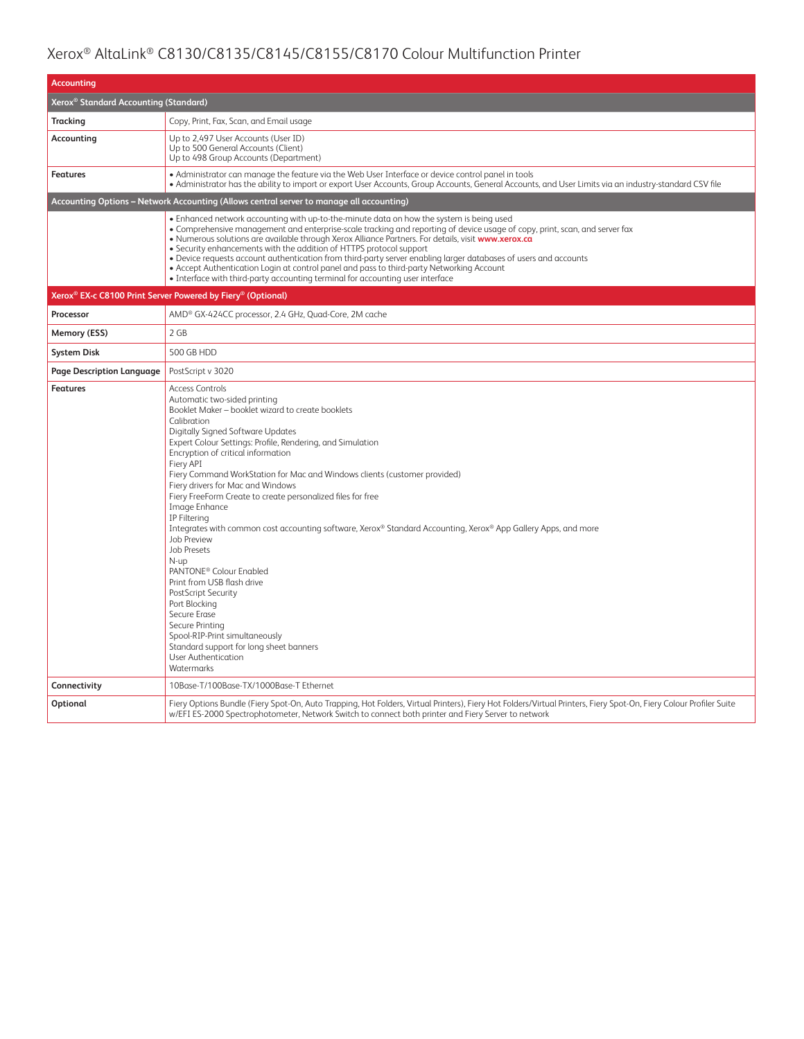| <b>Accounting</b>                                 |                                                                                                                                                                                                                                                                                                                                                                                                                                                                                                                                                                                                                                                                                                                                                                                                                                                                                                                                                          |  |  |
|---------------------------------------------------|----------------------------------------------------------------------------------------------------------------------------------------------------------------------------------------------------------------------------------------------------------------------------------------------------------------------------------------------------------------------------------------------------------------------------------------------------------------------------------------------------------------------------------------------------------------------------------------------------------------------------------------------------------------------------------------------------------------------------------------------------------------------------------------------------------------------------------------------------------------------------------------------------------------------------------------------------------|--|--|
| Xerox <sup>®</sup> Standard Accounting (Standard) |                                                                                                                                                                                                                                                                                                                                                                                                                                                                                                                                                                                                                                                                                                                                                                                                                                                                                                                                                          |  |  |
| <b>Tracking</b>                                   | Copy, Print, Fax, Scan, and Email usage                                                                                                                                                                                                                                                                                                                                                                                                                                                                                                                                                                                                                                                                                                                                                                                                                                                                                                                  |  |  |
| Accounting                                        | Up to 2,497 User Accounts (User ID)<br>Up to 500 General Accounts (Client)<br>Up to 498 Group Accounts (Department)                                                                                                                                                                                                                                                                                                                                                                                                                                                                                                                                                                                                                                                                                                                                                                                                                                      |  |  |
| <b>Features</b>                                   | • Administrator can manage the feature via the Web User Interface or device control panel in tools<br>· Administrator has the ability to import or export User Accounts, Group Accounts, General Accounts, and User Limits via an industry-standard CSV file                                                                                                                                                                                                                                                                                                                                                                                                                                                                                                                                                                                                                                                                                             |  |  |
|                                                   | Accounting Options - Network Accounting (Allows central server to manage all accounting)                                                                                                                                                                                                                                                                                                                                                                                                                                                                                                                                                                                                                                                                                                                                                                                                                                                                 |  |  |
|                                                   | . Enhanced network accounting with up-to-the-minute data on how the system is being used<br>• Comprehensive management and enterprise-scale tracking and reporting of device usage of copy, print, scan, and server fax<br>. Numerous solutions are available through Xerox Alliance Partners. For details, visit www.xerox.ca<br>• Security enhancements with the addition of HTTPS protocol support<br>. Device requests account authentication from third-party server enabling larger databases of users and accounts<br>• Accept Authentication Login at control panel and pass to third-party Networking Account<br>• Interface with third-party accounting terminal for accounting user interface                                                                                                                                                                                                                                                 |  |  |
|                                                   | Xerox <sup>®</sup> EX-c C8100 Print Server Powered by Fiery <sup>®</sup> (Optional)                                                                                                                                                                                                                                                                                                                                                                                                                                                                                                                                                                                                                                                                                                                                                                                                                                                                      |  |  |
| Processor                                         | AMD <sup>®</sup> GX-424CC processor, 2.4 GHz, Quad-Core, 2M cache                                                                                                                                                                                                                                                                                                                                                                                                                                                                                                                                                                                                                                                                                                                                                                                                                                                                                        |  |  |
| Memory (ESS)                                      | 2 GB                                                                                                                                                                                                                                                                                                                                                                                                                                                                                                                                                                                                                                                                                                                                                                                                                                                                                                                                                     |  |  |
| <b>System Disk</b>                                | 500 GB HDD                                                                                                                                                                                                                                                                                                                                                                                                                                                                                                                                                                                                                                                                                                                                                                                                                                                                                                                                               |  |  |
| <b>Page Description Language</b>                  | PostScript v 3020                                                                                                                                                                                                                                                                                                                                                                                                                                                                                                                                                                                                                                                                                                                                                                                                                                                                                                                                        |  |  |
| <b>Features</b>                                   | <b>Access Controls</b><br>Automatic two-sided printing<br>Booklet Maker - booklet wizard to create booklets<br>Calibration<br>Digitally Signed Software Updates<br>Expert Colour Settings: Profile, Rendering, and Simulation<br>Encryption of critical information<br>Fierv API<br>Fiery Command WorkStation for Mac and Windows clients (customer provided)<br>Fiery drivers for Mac and Windows<br>Fiery FreeForm Create to create personalized files for free<br>Image Enhance<br><b>IP Filtering</b><br>Integrates with common cost accounting software, Xerox® Standard Accounting, Xerox® App Gallery Apps, and more<br><b>Job Preview</b><br><b>Job Presets</b><br>N-up<br>PANTONE <sup>®</sup> Colour Enabled<br>Print from USB flash drive<br>PostScript Security<br>Port Blocking<br>Secure Erase<br>Secure Printing<br>Spool-RIP-Print simultaneously<br>Standard support for long sheet banners<br><b>User Authentication</b><br>Watermarks |  |  |
| Connectivity                                      | 10Base-T/100Base-TX/1000Base-T Ethernet                                                                                                                                                                                                                                                                                                                                                                                                                                                                                                                                                                                                                                                                                                                                                                                                                                                                                                                  |  |  |
| Optional                                          | Fiery Options Bundle (Fiery Spot-On, Auto Trapping, Hot Folders, Virtual Printers), Fiery Hot Folders/Virtual Printers, Fiery Spot-On, Fiery Colour Profiler Suite<br>w/EFI ES-2000 Spectrophotometer, Network Switch to connect both printer and Fiery Server to network                                                                                                                                                                                                                                                                                                                                                                                                                                                                                                                                                                                                                                                                                |  |  |